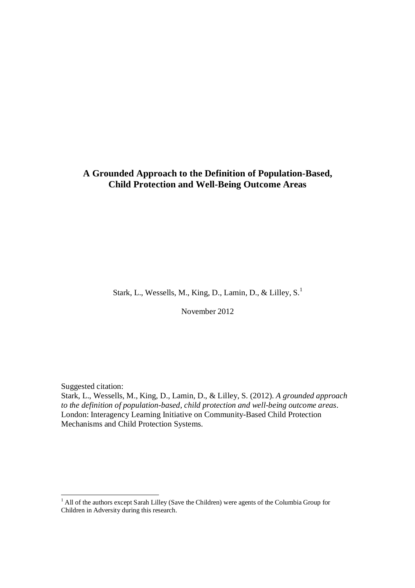# **A Grounded Approach to the Definition of Population-Based, Child Protection and Well-Being Outcome Areas**

Stark, L., Wessells, M., King, D., Lamin, D., & Lilley, S.<sup>1</sup>

November 2012

Suggested citation:

1

Stark, L., Wessells, M., King, D., Lamin, D., & Lilley, S. (2012). *A grounded approach to the definition of population-based, child protection and well-being outcome areas*. London: Interagency Learning Initiative on Community-Based Child Protection Mechanisms and Child Protection Systems.

<sup>&</sup>lt;sup>1</sup> All of the authors except Sarah Lilley (Save the Children) were agents of the Columbia Group for Children in Adversity during this research.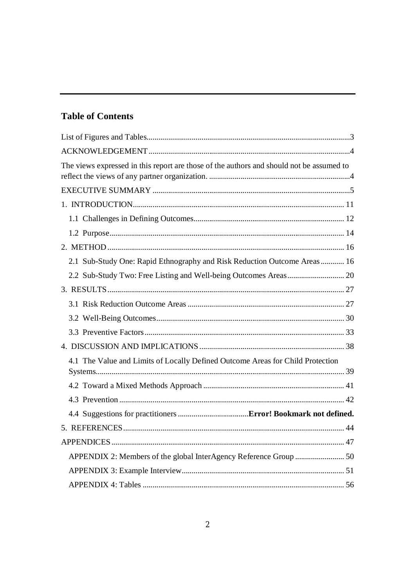# **Table of Contents**

| The views expressed in this report are those of the authors and should not be assumed to |  |
|------------------------------------------------------------------------------------------|--|
|                                                                                          |  |
|                                                                                          |  |
|                                                                                          |  |
|                                                                                          |  |
|                                                                                          |  |
| 2.1 Sub-Study One: Rapid Ethnography and Risk Reduction Outcome Areas 16                 |  |
|                                                                                          |  |
|                                                                                          |  |
|                                                                                          |  |
|                                                                                          |  |
|                                                                                          |  |
|                                                                                          |  |
| 4.1 The Value and Limits of Locally Defined Outcome Areas for Child Protection           |  |
|                                                                                          |  |
|                                                                                          |  |
|                                                                                          |  |
|                                                                                          |  |
|                                                                                          |  |
|                                                                                          |  |
|                                                                                          |  |
|                                                                                          |  |
|                                                                                          |  |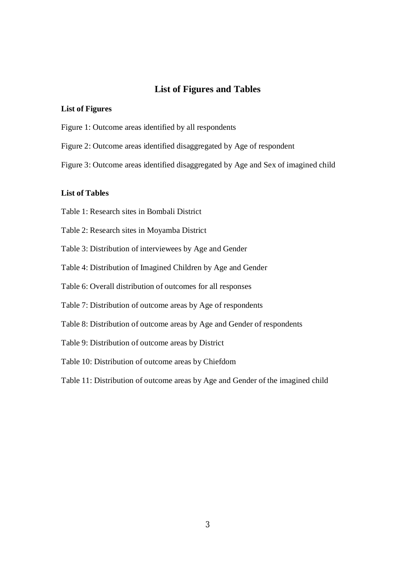# **List of Figures and Tables**

#### **List of Figures**

- Figure 1: Outcome areas identified by all respondents
- Figure 2: Outcome areas identified disaggregated by Age of respondent
- Figure 3: Outcome areas identified disaggregated by Age and Sex of imagined child

# **List of Tables**

- Table 1: Research sites in Bombali District
- Table 2: Research sites in Moyamba District
- Table 3: Distribution of interviewees by Age and Gender
- Table 4: Distribution of Imagined Children by Age and Gender
- Table 6: Overall distribution of outcomes for all responses
- Table 7: Distribution of outcome areas by Age of respondents
- Table 8: Distribution of outcome areas by Age and Gender of respondents
- Table 9: Distribution of outcome areas by District
- Table 10: Distribution of outcome areas by Chiefdom

Table 11: Distribution of outcome areas by Age and Gender of the imagined child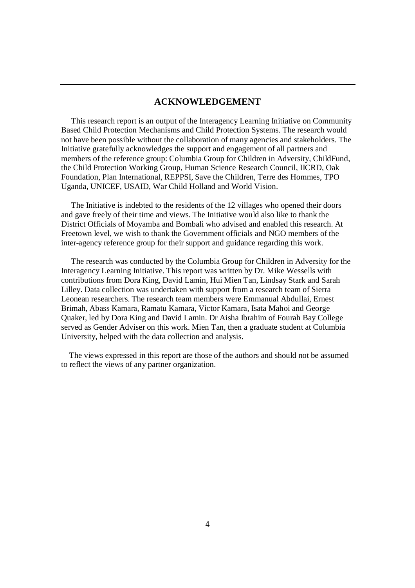# **ACKNOWLEDGEMENT**

 This research report is an output of the Interagency Learning Initiative on Community Based Child Protection Mechanisms and Child Protection Systems. The research would not have been possible without the collaboration of many agencies and stakeholders. The Initiative gratefully acknowledges the support and engagement of all partners and members of the reference group: Columbia Group for Children in Adversity, ChildFund, the Child Protection Working Group, Human Science Research Council, IICRD, Oak Foundation, Plan International, REPPSI, Save the Children, Terre des Hommes, TPO Uganda, UNICEF, USAID, War Child Holland and World Vision.

 The Initiative is indebted to the residents of the 12 villages who opened their doors and gave freely of their time and views. The Initiative would also like to thank the District Officials of Moyamba and Bombali who advised and enabled this research. At Freetown level, we wish to thank the Government officials and NGO members of the inter-agency reference group for their support and guidance regarding this work.

 The research was conducted by the Columbia Group for Children in Adversity for the Interagency Learning Initiative. This report was written by Dr. Mike Wessells with contributions from Dora King, David Lamin, Hui Mien Tan, Lindsay Stark and Sarah Lilley. Data collection was undertaken with support from a research team of Sierra Leonean researchers. The research team members were Emmanual Abdullai, Ernest Brimah, Abass Kamara, Ramatu Kamara, Victor Kamara, Isata Mahoi and George Quaker, led by Dora King and David Lamin. Dr Aisha Ibrahim of Fourah Bay College served as Gender Adviser on this work. Mien Tan, then a graduate student at Columbia University, helped with the data collection and analysis.

 The views expressed in this report are those of the authors and should not be assumed to reflect the views of any partner organization.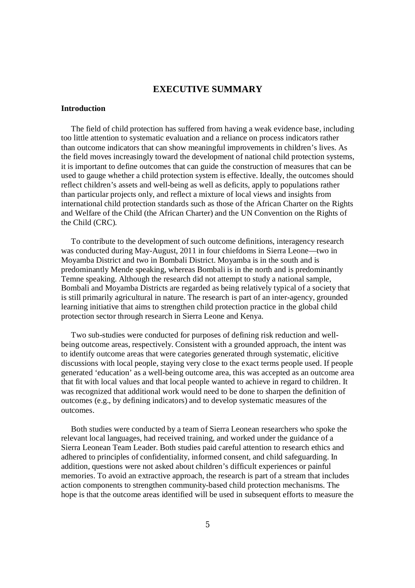## **EXECUTIVE SUMMARY**

#### **Introduction**

 The field of child protection has suffered from having a weak evidence base, including too little attention to systematic evaluation and a reliance on process indicators rather than outcome indicators that can show meaningful improvements in children's lives. As the field moves increasingly toward the development of national child protection systems, it is important to define outcomes that can guide the construction of measures that can be used to gauge whether a child protection system is effective. Ideally, the outcomes should reflect children's assets and well-being as well as deficits, apply to populations rather than particular projects only, and reflect a mixture of local views and insights from international child protection standards such as those of the African Charter on the Rights and Welfare of the Child (the African Charter) and the UN Convention on the Rights of the Child (CRC).

 To contribute to the development of such outcome definitions, interagency research was conducted during May-August, 2011 in four chiefdoms in Sierra Leone—two in Moyamba District and two in Bombali District. Moyamba is in the south and is predominantly Mende speaking, whereas Bombali is in the north and is predominantly Temne speaking. Although the research did not attempt to study a national sample, Bombali and Moyamba Districts are regarded as being relatively typical of a society that is still primarily agricultural in nature. The research is part of an inter-agency, grounded learning initiative that aims to strengthen child protection practice in the global child protection sector through research in Sierra Leone and Kenya.

 Two sub-studies were conducted for purposes of defining risk reduction and wellbeing outcome areas, respectively. Consistent with a grounded approach, the intent was to identify outcome areas that were categories generated through systematic, elicitive discussions with local people, staying very close to the exact terms people used. If people generated 'education' as a well-being outcome area, this was accepted as an outcome area that fit with local values and that local people wanted to achieve in regard to children. It was recognized that additional work would need to be done to sharpen the definition of outcomes (e.g., by defining indicators) and to develop systematic measures of the outcomes.

 Both studies were conducted by a team of Sierra Leonean researchers who spoke the relevant local languages, had received training, and worked under the guidance of a Sierra Leonean Team Leader. Both studies paid careful attention to research ethics and adhered to principles of confidentiality, informed consent, and child safeguarding. In addition, questions were not asked about children's difficult experiences or painful memories. To avoid an extractive approach, the research is part of a stream that includes action components to strengthen community-based child protection mechanisms. The hope is that the outcome areas identified will be used in subsequent efforts to measure the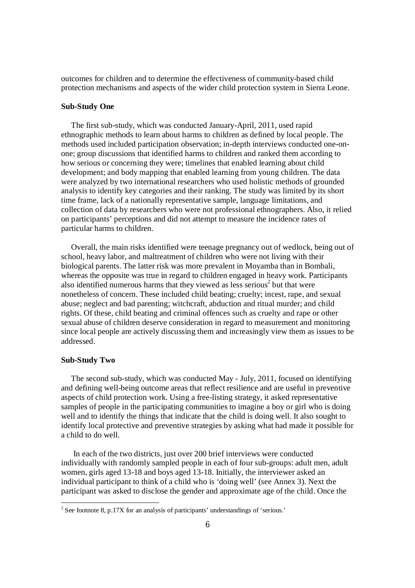outcomes for children and to determine the effectiveness of community-based child protection mechanisms and aspects of the wider child protection system in Sierra Leone.

#### **Sub-Study One**

 The first sub-study, which was conducted January-April, 2011, used rapid ethnographic methods to learn about harms to children as defined by local people. The methods used included participation observation; in-depth interviews conducted one-onone; group discussions that identified harms to children and ranked them according to how serious or concerning they were; timelines that enabled learning about child development; and body mapping that enabled learning from young children. The data were analyzed by two international researchers who used holistic methods of grounded analysis to identify key categories and their ranking. The study was limited by its short time frame, lack of a nationally representative sample, language limitations, and collection of data by researchers who were not professional ethnographers. Also, it relied on participants' perceptions and did not attempt to measure the incidence rates of particular harms to children.

 Overall, the main risks identified were teenage pregnancy out of wedlock, being out of school, heavy labor, and maltreatment of children who were not living with their biological parents. The latter risk was more prevalent in Moyamba than in Bombali, whereas the opposite was true in regard to children engaged in heavy work. Participants also identified numerous harms that they viewed as less serious<sup>2</sup> but that were nonetheless of concern. These included child beating; cruelty; incest, rape, and sexual abuse; neglect and bad parenting; witchcraft, abduction and ritual murder; and child rights. Of these, child beating and criminal offences such as cruelty and rape or other sexual abuse of children deserve consideration in regard to measurement and monitoring since local people are actively discussing them and increasingly view them as issues to be addressed.

## **Sub-Study Two**

 The second sub-study, which was conducted May - July, 2011, focused on identifying and defining well-being outcome areas that reflect resilience and are useful in preventive aspects of child protection work. Using a free-listing strategy, it asked representative samples of people in the participating communities to imagine a boy or girl who is doing well and to identify the things that indicate that the child is doing well. It also sought to identify local protective and preventive strategies by asking what had made it possible for a child to do well.

 In each of the two districts, just over 200 brief interviews were conducted individually with randomly sampled people in each of four sub-groups: adult men, adult women, girls aged 13-18 and boys aged 13-18. Initially, the interviewer asked an individual participant to think of a child who is 'doing well' (see Annex 3). Next the participant was asked to disclose the gender and approximate age of the child. Once the

<sup>&</sup>lt;sup>2</sup> See footnote 8, p.17X for an analysis of participants' understandings of 'serious.'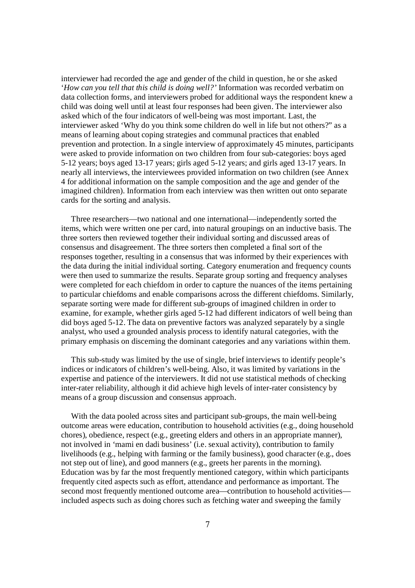interviewer had recorded the age and gender of the child in question, he or she asked '*How can you tell that this child is doing well?'* Information was recorded verbatim on data collection forms, and interviewers probed for additional ways the respondent knew a child was doing well until at least four responses had been given. The interviewer also asked which of the four indicators of well-being was most important. Last, the interviewer asked 'Why do you think some children do well in life but not others?" as a means of learning about coping strategies and communal practices that enabled prevention and protection. In a single interview of approximately 45 minutes, participants were asked to provide information on two children from four sub-categories: boys aged 5-12 years; boys aged 13-17 years; girls aged 5-12 years; and girls aged 13-17 years. In nearly all interviews, the interviewees provided information on two children (see Annex 4 for additional information on the sample composition and the age and gender of the imagined children). Information from each interview was then written out onto separate cards for the sorting and analysis.

 Three researchers—two national and one international—independently sorted the items, which were written one per card, into natural groupings on an inductive basis. The three sorters then reviewed together their individual sorting and discussed areas of consensus and disagreement. The three sorters then completed a final sort of the responses together, resulting in a consensus that was informed by their experiences with the data during the initial individual sorting. Category enumeration and frequency counts were then used to summarize the results. Separate group sorting and frequency analyses were completed for each chiefdom in order to capture the nuances of the items pertaining to particular chiefdoms and enable comparisons across the different chiefdoms. Similarly, separate sorting were made for different sub-groups of imagined children in order to examine, for example, whether girls aged 5-12 had different indicators of well being than did boys aged 5-12. The data on preventive factors was analyzed separately by a single analyst, who used a grounded analysis process to identify natural categories, with the primary emphasis on discerning the dominant categories and any variations within them.

 This sub-study was limited by the use of single, brief interviews to identify people's indices or indicators of children's well-being. Also, it was limited by variations in the expertise and patience of the interviewers. It did not use statistical methods of checking inter-rater reliability, although it did achieve high levels of inter-rater consistency by means of a group discussion and consensus approach.

 With the data pooled across sites and participant sub-groups, the main well-being outcome areas were education, contribution to household activities (e.g., doing household chores), obedience, respect (e.g., greeting elders and others in an appropriate manner), not involved in 'mami en dadi business' (i.e. sexual activity), contribution to family livelihoods (e.g., helping with farming or the family business), good character (e.g., does not step out of line), and good manners (e.g., greets her parents in the morning). Education was by far the most frequently mentioned category, within which participants frequently cited aspects such as effort, attendance and performance as important. The second most frequently mentioned outcome area—contribution to household activities included aspects such as doing chores such as fetching water and sweeping the family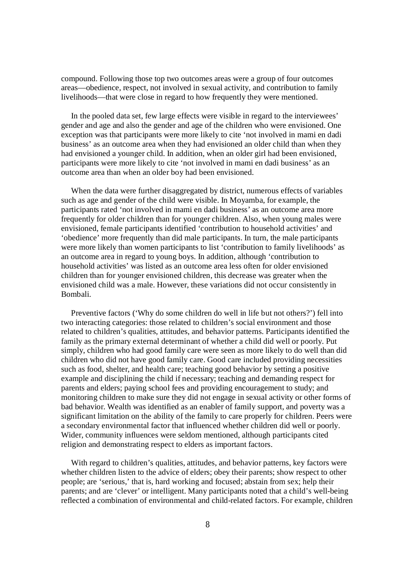compound. Following those top two outcomes areas were a group of four outcomes areas—obedience, respect, not involved in sexual activity, and contribution to family livelihoods—that were close in regard to how frequently they were mentioned.

 In the pooled data set, few large effects were visible in regard to the interviewees' gender and age and also the gender and age of the children who were envisioned. One exception was that participants were more likely to cite 'not involved in mami en dadi business' as an outcome area when they had envisioned an older child than when they had envisioned a younger child. In addition, when an older girl had been envisioned, participants were more likely to cite 'not involved in mami en dadi business' as an outcome area than when an older boy had been envisioned.

 When the data were further disaggregated by district, numerous effects of variables such as age and gender of the child were visible. In Moyamba, for example, the participants rated 'not involved in mami en dadi business' as an outcome area more frequently for older children than for younger children. Also, when young males were envisioned, female participants identified 'contribution to household activities' and 'obedience' more frequently than did male participants. In turn, the male participants were more likely than women participants to list 'contribution to family livelihoods' as an outcome area in regard to young boys. In addition, although 'contribution to household activities' was listed as an outcome area less often for older envisioned children than for younger envisioned children, this decrease was greater when the envisioned child was a male. However, these variations did not occur consistently in Bombali.

 Preventive factors ('Why do some children do well in life but not others?') fell into two interacting categories: those related to children's social environment and those related to children's qualities, attitudes, and behavior patterns. Participants identified the family as the primary external determinant of whether a child did well or poorly. Put simply, children who had good family care were seen as more likely to do well than did children who did not have good family care. Good care included providing necessities such as food, shelter, and health care; teaching good behavior by setting a positive example and disciplining the child if necessary; teaching and demanding respect for parents and elders; paying school fees and providing encouragement to study; and monitoring children to make sure they did not engage in sexual activity or other forms of bad behavior. Wealth was identified as an enabler of family support, and poverty was a significant limitation on the ability of the family to care properly for children. Peers were a secondary environmental factor that influenced whether children did well or poorly. Wider, community influences were seldom mentioned, although participants cited religion and demonstrating respect to elders as important factors.

With regard to children's qualities, attitudes, and behavior patterns, key factors were whether children listen to the advice of elders; obey their parents; show respect to other people; are 'serious,' that is, hard working and focused; abstain from sex; help their parents; and are 'clever' or intelligent. Many participants noted that a child's well-being reflected a combination of environmental and child-related factors. For example, children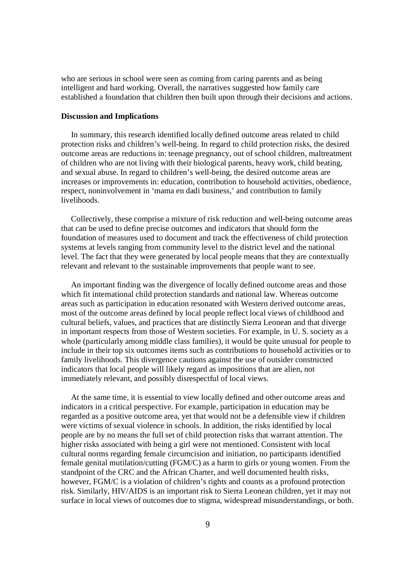who are serious in school were seen as coming from caring parents and as being intelligent and hard working. Overall, the narratives suggested how family care established a foundation that children then built upon through their decisions and actions.

#### **Discussion and Implications**

 In summary, this research identified locally defined outcome areas related to child protection risks and children's well-being. In regard to child protection risks, the desired outcome areas are reductions in: teenage pregnancy, out of school children, maltreatment of children who are not living with their biological parents, heavy work, child beating, and sexual abuse. In regard to children's well-being, the desired outcome areas are increases or improvements in: education, contribution to household activities, obedience, respect, noninvolvement in 'mama en dadi business,' and contribution to family livelihoods.

 Collectively, these comprise a mixture of risk reduction and well-being outcome areas that can be used to define precise outcomes and indicators that should form the foundation of measures used to document and track the effectiveness of child protection systems at levels ranging from community level to the district level and the national level. The fact that they were generated by local people means that they are contextually relevant and relevant to the sustainable improvements that people want to see.

 An important finding was the divergence of locally defined outcome areas and those which fit international child protection standards and national law. Whereas outcome areas such as participation in education resonated with Western derived outcome areas, most of the outcome areas defined by local people reflect local views of childhood and cultural beliefs, values, and practices that are distinctly Sierra Leonean and that diverge in important respects from those of Western societies. For example, in U. S. society as a whole (particularly among middle class families), it would be quite unusual for people to include in their top six outcomes items such as contributions to household activities or to family livelihoods. This divergence cautions against the use of outsider constructed indicators that local people will likely regard as impositions that are alien, not immediately relevant, and possibly disrespectful of local views.

 At the same time, it is essential to view locally defined and other outcome areas and indicators in a critical perspective. For example, participation in education may be regarded as a positive outcome area, yet that would not be a defensible view if children were victims of sexual violence in schools. In addition, the risks identified by local people are by no means the full set of child protection risks that warrant attention. The higher risks associated with being a girl were not mentioned. Consistent with local cultural norms regarding female circumcision and initiation, no participants identified female genital mutilation/cutting (FGM/C) as a harm to girls or young women. From the standpoint of the CRC and the African Charter, and well documented health risks, however, FGM/C is a violation of children's rights and counts as a profound protection risk. Similarly, HIV/AIDS is an important risk to Sierra Leonean children, yet it may not surface in local views of outcomes due to stigma, widespread misunderstandings, or both.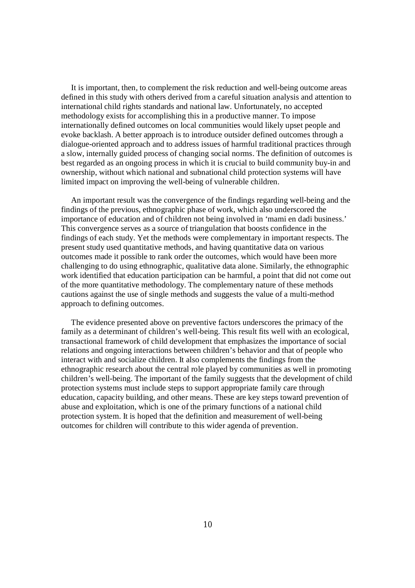It is important, then, to complement the risk reduction and well-being outcome areas defined in this study with others derived from a careful situation analysis and attention to international child rights standards and national law. Unfortunately, no accepted methodology exists for accomplishing this in a productive manner. To impose internationally defined outcomes on local communities would likely upset people and evoke backlash. A better approach is to introduce outsider defined outcomes through a dialogue-oriented approach and to address issues of harmful traditional practices through a slow, internally guided process of changing social norms. The definition of outcomes is best regarded as an ongoing process in which it is crucial to build community buy-in and ownership, without which national and subnational child protection systems will have limited impact on improving the well-being of vulnerable children.

 An important result was the convergence of the findings regarding well-being and the findings of the previous, ethnographic phase of work, which also underscored the importance of education and of children not being involved in 'mami en dadi business.' This convergence serves as a source of triangulation that boosts confidence in the findings of each study. Yet the methods were complementary in important respects. The present study used quantitative methods, and having quantitative data on various outcomes made it possible to rank order the outcomes, which would have been more challenging to do using ethnographic, qualitative data alone. Similarly, the ethnographic work identified that education participation can be harmful, a point that did not come out of the more quantitative methodology. The complementary nature of these methods cautions against the use of single methods and suggests the value of a multi-method approach to defining outcomes.

 The evidence presented above on preventive factors underscores the primacy of the family as a determinant of children's well-being. This result fits well with an ecological, transactional framework of child development that emphasizes the importance of social relations and ongoing interactions between children's behavior and that of people who interact with and socialize children. It also complements the findings from the ethnographic research about the central role played by communities as well in promoting children's well-being. The important of the family suggests that the development of child protection systems must include steps to support appropriate family care through education, capacity building, and other means. These are key steps toward prevention of abuse and exploitation, which is one of the primary functions of a national child protection system. It is hoped that the definition and measurement of well-being outcomes for children will contribute to this wider agenda of prevention.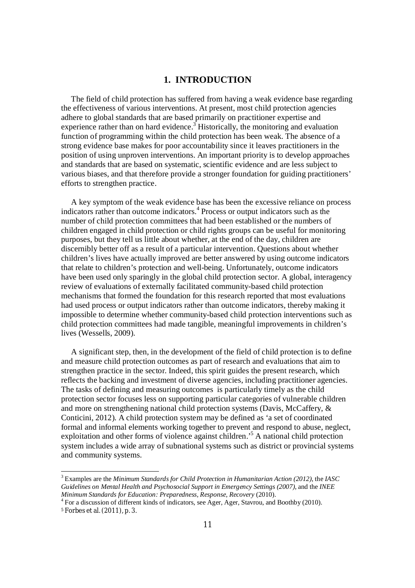# **1. INTRODUCTION**

 The field of child protection has suffered from having a weak evidence base regarding the effectiveness of various interventions. At present, most child protection agencies adhere to global standards that are based primarily on practitioner expertise and experience rather than on hard evidence.<sup>3</sup> Historically, the monitoring and evaluation function of programming within the child protection has been weak. The absence of a strong evidence base makes for poor accountability since it leaves practitioners in the position of using unproven interventions. An important priority is to develop approaches and standards that are based on systematic, scientific evidence and are less subject to various biases, and that therefore provide a stronger foundation for guiding practitioners' efforts to strengthen practice.

 A key symptom of the weak evidence base has been the excessive reliance on process indicators rather than outcome indicators.<sup>4</sup> Process or output indicators such as the number of child protection committees that had been established or the numbers of children engaged in child protection or child rights groups can be useful for monitoring purposes, but they tell us little about whether, at the end of the day, children are discernibly better off as a result of a particular intervention. Questions about whether children's lives have actually improved are better answered by using outcome indicators that relate to children's protection and well-being. Unfortunately, outcome indicators have been used only sparingly in the global child protection sector. A global, interagency review of evaluations of externally facilitated community-based child protection mechanisms that formed the foundation for this research reported that most evaluations had used process or output indicators rather than outcome indicators, thereby making it impossible to determine whether community-based child protection interventions such as child protection committees had made tangible, meaningful improvements in children's lives (Wessells, 2009).

 A significant step, then, in the development of the field of child protection is to define and measure child protection outcomes as part of research and evaluations that aim to strengthen practice in the sector. Indeed, this spirit guides the present research, which reflects the backing and investment of diverse agencies, including practitioner agencies. The tasks of defining and measuring outcomes is particularly timely as the child protection sector focuses less on supporting particular categories of vulnerable children and more on strengthening national child protection systems (Davis, McCaffery, & Conticini, 2012). A child protection system may be defined as 'a set of coordinated formal and informal elements working together to prevent and respond to abuse, neglect, exploitation and other forms of violence against children.'<sup>5</sup> A national child protection system includes a wide array of subnational systems such as district or provincial systems and community systems.

<u>.</u>

<sup>3</sup> Examples are the *Minimum Standards for Child Protection in Humanitarian Action (2012)*, the *IASC Guidelines on Mental Health and Psychosocial Support in Emergency Settings (2007)*, and the *INEE Minimum Standards for Education: Preparedness, Response, Recovery* (2010).

<sup>&</sup>lt;sup>4</sup> For a discussion of different kinds of indicators, see Ager, Ager, Stavrou, and Boothby (2010).

<sup>5</sup> Forbes et al. (2011), p. 3.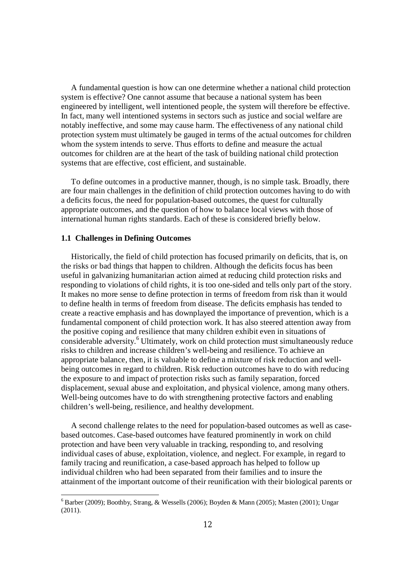A fundamental question is how can one determine whether a national child protection system is effective? One cannot assume that because a national system has been engineered by intelligent, well intentioned people, the system will therefore be effective. In fact, many well intentioned systems in sectors such as justice and social welfare are notably ineffective, and some may cause harm. The effectiveness of any national child protection system must ultimately be gauged in terms of the actual outcomes for children whom the system intends to serve. Thus efforts to define and measure the actual outcomes for children are at the heart of the task of building national child protection systems that are effective, cost efficient, and sustainable.

 To define outcomes in a productive manner, though, is no simple task. Broadly, there are four main challenges in the definition of child protection outcomes having to do with a deficits focus, the need for population-based outcomes, the quest for culturally appropriate outcomes, and the question of how to balance local views with those of international human rights standards. Each of these is considered briefly below.

#### **1.1 Challenges in Defining Outcomes**

1

 Historically, the field of child protection has focused primarily on deficits, that is, on the risks or bad things that happen to children. Although the deficits focus has been useful in galvanizing humanitarian action aimed at reducing child protection risks and responding to violations of child rights, it is too one-sided and tells only part of the story. It makes no more sense to define protection in terms of freedom from risk than it would to define health in terms of freedom from disease. The deficits emphasis has tended to create a reactive emphasis and has downplayed the importance of prevention, which is a fundamental component of child protection work. It has also steered attention away from the positive coping and resilience that many children exhibit even in situations of considerable adversity.<sup>6</sup> Ultimately, work on child protection must simultaneously reduce risks to children and increase children's well-being and resilience. To achieve an appropriate balance, then, it is valuable to define a mixture of risk reduction and wellbeing outcomes in regard to children. Risk reduction outcomes have to do with reducing the exposure to and impact of protection risks such as family separation, forced displacement, sexual abuse and exploitation, and physical violence, among many others. Well-being outcomes have to do with strengthening protective factors and enabling children's well-being, resilience, and healthy development.

 A second challenge relates to the need for population-based outcomes as well as casebased outcomes. Case-based outcomes have featured prominently in work on child protection and have been very valuable in tracking, responding to, and resolving individual cases of abuse, exploitation, violence, and neglect. For example, in regard to family tracing and reunification, a case-based approach has helped to follow up individual children who had been separated from their families and to insure the attainment of the important outcome of their reunification with their biological parents or

 $6$  Barber (2009); Boothby, Strang, & Wessells (2006); Boyden & Mann (2005); Masten (2001); Ungar (2011).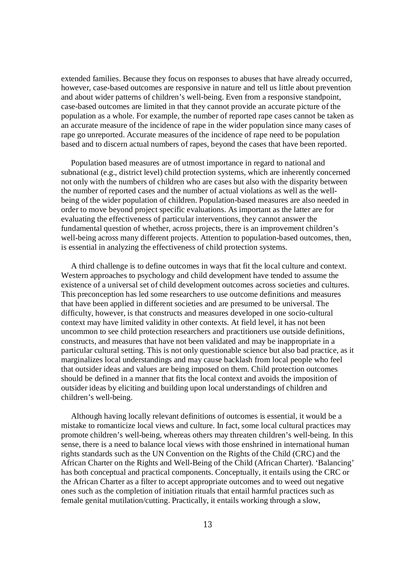extended families. Because they focus on responses to abuses that have already occurred, however, case-based outcomes are responsive in nature and tell us little about prevention and about wider patterns of children's well-being. Even from a responsive standpoint, case-based outcomes are limited in that they cannot provide an accurate picture of the population as a whole. For example, the number of reported rape cases cannot be taken as an accurate measure of the incidence of rape in the wider population since many cases of rape go unreported. Accurate measures of the incidence of rape need to be population based and to discern actual numbers of rapes, beyond the cases that have been reported.

 Population based measures are of utmost importance in regard to national and subnational (e.g., district level) child protection systems, which are inherently concerned not only with the numbers of children who are cases but also with the disparity between the number of reported cases and the number of actual violations as well as the wellbeing of the wider population of children. Population-based measures are also needed in order to move beyond project specific evaluations. As important as the latter are for evaluating the effectiveness of particular interventions, they cannot answer the fundamental question of whether, across projects, there is an improvement children's well-being across many different projects. Attention to population-based outcomes, then, is essential in analyzing the effectiveness of child protection systems.

 A third challenge is to define outcomes in ways that fit the local culture and context. Western approaches to psychology and child development have tended to assume the existence of a universal set of child development outcomes across societies and cultures. This preconception has led some researchers to use outcome definitions and measures that have been applied in different societies and are presumed to be universal. The difficulty, however, is that constructs and measures developed in one socio-cultural context may have limited validity in other contexts. At field level, it has not been uncommon to see child protection researchers and practitioners use outside definitions, constructs, and measures that have not been validated and may be inappropriate in a particular cultural setting. This is not only questionable science but also bad practice, as it marginalizes local understandings and may cause backlash from local people who feel that outsider ideas and values are being imposed on them. Child protection outcomes should be defined in a manner that fits the local context and avoids the imposition of outsider ideas by eliciting and building upon local understandings of children and children's well-being.

 Although having locally relevant definitions of outcomes is essential, it would be a mistake to romanticize local views and culture. In fact, some local cultural practices may promote children's well-being, whereas others may threaten children's well-being. In this sense, there is a need to balance local views with those enshrined in international human rights standards such as the UN Convention on the Rights of the Child (CRC) and the African Charter on the Rights and Well-Being of the Child (African Charter). 'Balancing' has both conceptual and practical components. Conceptually, it entails using the CRC or the African Charter as a filter to accept appropriate outcomes and to weed out negative ones such as the completion of initiation rituals that entail harmful practices such as female genital mutilation/cutting. Practically, it entails working through a slow,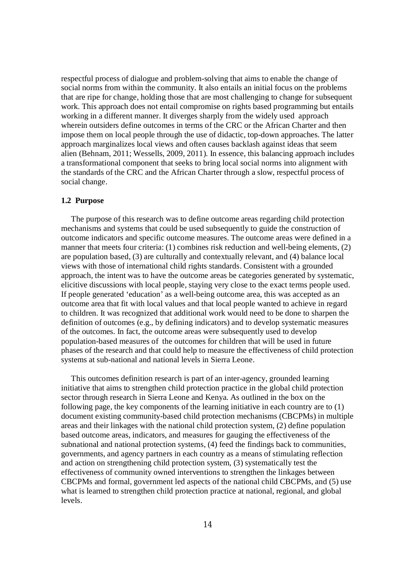respectful process of dialogue and problem-solving that aims to enable the change of social norms from within the community. It also entails an initial focus on the problems that are ripe for change, holding those that are most challenging to change for subsequent work. This approach does not entail compromise on rights based programming but entails working in a different manner. It diverges sharply from the widely used approach wherein outsiders define outcomes in terms of the CRC or the African Charter and then impose them on local people through the use of didactic, top-down approaches. The latter approach marginalizes local views and often causes backlash against ideas that seem alien (Behnam, 2011; Wessells, 2009, 2011). In essence, this balancing approach includes a transformational component that seeks to bring local social norms into alignment with the standards of the CRC and the African Charter through a slow, respectful process of social change.

#### **1.2 Purpose**

 The purpose of this research was to define outcome areas regarding child protection mechanisms and systems that could be used subsequently to guide the construction of outcome indicators and specific outcome measures. The outcome areas were defined in a manner that meets four criteria: (1) combines risk reduction and well-being elements, (2) are population based, (3) are culturally and contextually relevant, and (4) balance local views with those of international child rights standards. Consistent with a grounded approach, the intent was to have the outcome areas be categories generated by systematic, elicitive discussions with local people, staying very close to the exact terms people used. If people generated 'education' as a well-being outcome area, this was accepted as an outcome area that fit with local values and that local people wanted to achieve in regard to children. It was recognized that additional work would need to be done to sharpen the definition of outcomes (e.g., by defining indicators) and to develop systematic measures of the outcomes. In fact, the outcome areas were subsequently used to develop population-based measures of the outcomes for children that will be used in future phases of the research and that could help to measure the effectiveness of child protection systems at sub-national and national levels in Sierra Leone.

 This outcomes definition research is part of an inter-agency, grounded learning initiative that aims to strengthen child protection practice in the global child protection sector through research in Sierra Leone and Kenya. As outlined in the box on the following page, the key components of the learning initiative in each country are to (1) document existing community-based child protection mechanisms (CBCPMs) in multiple areas and their linkages with the national child protection system, (2) define population based outcome areas, indicators, and measures for gauging the effectiveness of the subnational and national protection systems, (4) feed the findings back to communities, governments, and agency partners in each country as a means of stimulating reflection and action on strengthening child protection system, (3) systematically test the effectiveness of community owned interventions to strengthen the linkages between CBCPMs and formal, government led aspects of the national child CBCPMs, and (5) use what is learned to strengthen child protection practice at national, regional, and global levels.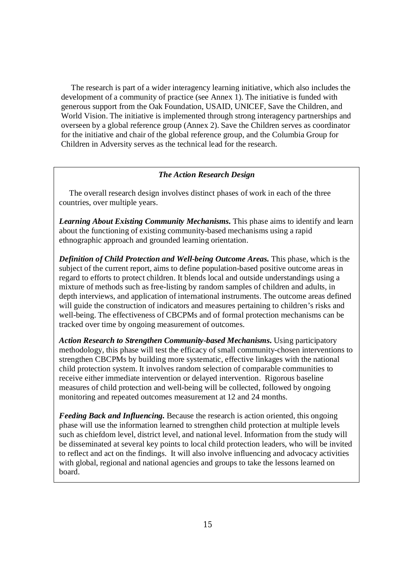The research is part of a wider interagency learning initiative, which also includes the development of a community of practice (see Annex 1). The initiative is funded with generous support from the Oak Foundation, USAID, UNICEF, Save the Children, and World Vision. The initiative is implemented through strong interagency partnerships and overseen by a global reference group (Annex 2). Save the Children serves as coordinator for the initiative and chair of the global reference group, and the Columbia Group for Children in Adversity serves as the technical lead for the research.

#### *The Action Research Design*

 The overall research design involves distinct phases of work in each of the three countries, over multiple years.

*Learning About Existing Community Mechanisms.* This phase aims to identify and learn about the functioning of existing community-based mechanisms using a rapid ethnographic approach and grounded learning orientation.

*Definition of Child Protection and Well-being Outcome Areas.* This phase, which is the subject of the current report, aims to define population-based positive outcome areas in regard to efforts to protect children. It blends local and outside understandings using a mixture of methods such as free-listing by random samples of children and adults, in depth interviews, and application of international instruments. The outcome areas defined will guide the construction of indicators and measures pertaining to children's risks and well-being. The effectiveness of CBCPMs and of formal protection mechanisms can be tracked over time by ongoing measurement of outcomes.

*Action Research to Strengthen Community-based Mechanisms.* Using participatory methodology, this phase will test the efficacy of small community-chosen interventions to strengthen CBCPMs by building more systematic, effective linkages with the national child protection system. It involves random selection of comparable communities to receive either immediate intervention or delayed intervention. Rigorous baseline measures of child protection and well-being will be collected, followed by ongoing monitoring and repeated outcomes measurement at 12 and 24 months.

*Feeding Back and Influencing.* Because the research is action oriented, this ongoing phase will use the information learned to strengthen child protection at multiple levels such as chiefdom level, district level, and national level. Information from the study will be disseminated at several key points to local child protection leaders, who will be invited to reflect and act on the findings. It will also involve influencing and advocacy activities with global, regional and national agencies and groups to take the lessons learned on board.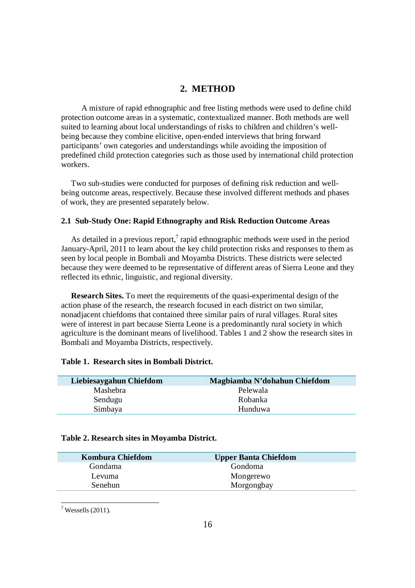# **2. METHOD**

 A mixture of rapid ethnographic and free listing methods were used to define child protection outcome areas in a systematic, contextualized manner. Both methods are well suited to learning about local understandings of risks to children and children's wellbeing because they combine elicitive, open-ended interviews that bring forward participants' own categories and understandings while avoiding the imposition of predefined child protection categories such as those used by international child protection workers.

 Two sub-studies were conducted for purposes of defining risk reduction and wellbeing outcome areas, respectively. Because these involved different methods and phases of work, they are presented separately below.

#### **2.1 Sub-Study One: Rapid Ethnography and Risk Reduction Outcome Areas**

As detailed in a previous report, $\frac{7}{1}$  rapid ethnographic methods were used in the period January-April, 2011 to learn about the key child protection risks and responses to them as seen by local people in Bombali and Moyamba Districts. These districts were selected because they were deemed to be representative of different areas of Sierra Leone and they reflected its ethnic, linguistic, and regional diversity.

 **Research Sites.** To meet the requirements of the quasi-experimental design of the action phase of the research, the research focused in each district on two similar, nonadjacent chiefdoms that contained three similar pairs of rural villages. Rural sites were of interest in part because Sierra Leone is a predominantly rural society in which agriculture is the dominant means of livelihood. Tables 1 and 2 show the research sites in Bombali and Moyamba Districts, respectively.

#### **Table 1. Research sites in Bombali District.**

| Liebiesaygahun Chiefdom | Magbiamba N'dohahun Chiefdom |
|-------------------------|------------------------------|
| Mashebra                | Pelewala                     |
| Sendugu                 | Robanka                      |
| Simbaya                 | Hunduwa                      |
|                         |                              |

#### **Table 2. Research sites in Moyamba District.**

| <b>Kombura Chiefdom</b> | <b>Upper Banta Chiefdom</b> |
|-------------------------|-----------------------------|
| Gondama                 | Gondoma                     |
| Levuma                  | Mongerewo                   |
| Senehun                 | Morgongbay                  |
|                         |                             |

 $\overline{a}$  $7$  Wessells (2011).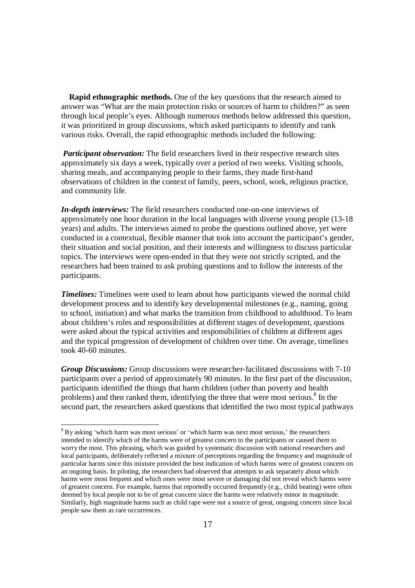**Rapid ethnographic methods.** One of the key questions that the research aimed to answer was "What are the main protection risks or sources of harm to children?" as seen through local people's eyes. Although numerous methods below addressed this question, it was prioritized in group discussions, which asked participants to identify and rank various risks. Overall, the rapid ethnographic methods included the following:

*Participant observation:* The field researchers lived in their respective research sites approximately six days a week, typically over a period of two weeks. Visiting schools, sharing meals, and accompanying people to their farms, they made first-hand observations of children in the context of family, peers, school, work, religious practice, and community life.

*In-depth interviews:* The field researchers conducted one-on-one interviews of approximately one hour duration in the local languages with diverse young people (13-18 years) and adults. The interviews aimed to probe the questions outlined above, yet were conducted in a contextual, flexible manner that took into account the participant's gender, their situation and social position, and their interests and willingness to discuss particular topics. The interviews were open-ended in that they were not strictly scripted, and the researchers had been trained to ask probing questions and to follow the interests of the participants.

*Timelines:* Timelines were used to learn about how participants viewed the normal child development process and to identify key developmental milestones (e.g., naming, going to school, initiation) and what marks the transition from childhood to adulthood. To learn about children's roles and responsibilities at different stages of development, questions were asked about the typical activities and responsibilities of children at different ages and the typical progression of development of children over time. On average, timelines took 40-60 minutes.

*Group Discussions:* Group discussions were researcher-facilitated discussions with 7-10 participants over a period of approximately 90 minutes. In the first part of the discussion, participants identified the things that harm children (other than poverty and health problems) and then ranked them, identifying the three that were most serious.<sup>8</sup> In the second part, the researchers asked questions that identified the two most typical pathways

<u>.</u>

<sup>&</sup>lt;sup>8</sup> By asking 'which harm was most serious' or 'which harm was next most serious,' the researchers intended to identify which of the harms were of greatest concern to the participants or caused them to worry the most. This phrasing, which was guided by systematic discussion with national researchers and local participants, deliberately reflected a mixture of perceptions regarding the frequency and magnitude of particular harms since this mixture provided the best indication of which harms were of greatest concern on an ongoing basis. In piloting, the researchers had observed that attempts to ask separately about which harms were most frequent and which ones were most severe or damaging did not reveal which harms were of greatest concern. For example, harms that reportedly occurred frequently (e.g., child beating) were often deemed by local people not to be of great concern since the harms were relatively minor in magnitude. Similarly, high magnitude harms such as child rape were not a source of great, ongoing concern since local people saw them as rare occurrences.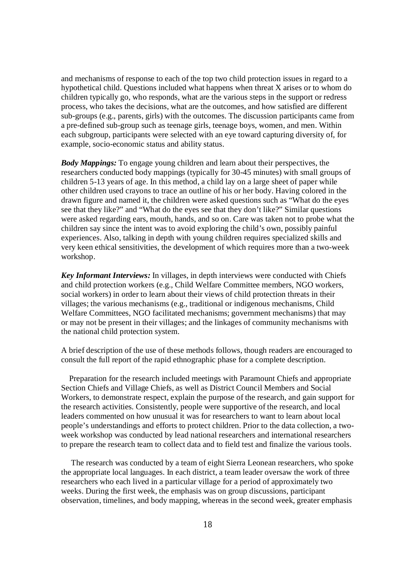and mechanisms of response to each of the top two child protection issues in regard to a hypothetical child. Questions included what happens when threat X arises or to whom do children typically go, who responds, what are the various steps in the support or redress process, who takes the decisions, what are the outcomes, and how satisfied are different sub-groups (e.g., parents, girls) with the outcomes. The discussion participants came from a pre-defined sub-group such as teenage girls, teenage boys, women, and men. Within each subgroup, participants were selected with an eye toward capturing diversity of, for example, socio-economic status and ability status.

*Body Mappings:* To engage young children and learn about their perspectives, the researchers conducted body mappings (typically for 30-45 minutes) with small groups of children 5-13 years of age. In this method, a child lay on a large sheet of paper while other children used crayons to trace an outline of his or her body. Having colored in the drawn figure and named it, the children were asked questions such as "What do the eyes see that they like?" and "What do the eyes see that they don't like?" Similar questions were asked regarding ears, mouth, hands, and so on. Care was taken not to probe what the children say since the intent was to avoid exploring the child's own, possibly painful experiences. Also, talking in depth with young children requires specialized skills and very keen ethical sensitivities, the development of which requires more than a two-week workshop.

*Key Informant Interviews:* In villages, in depth interviews were conducted with Chiefs and child protection workers (e.g., Child Welfare Committee members, NGO workers, social workers) in order to learn about their views of child protection threats in their villages; the various mechanisms (e.g., traditional or indigenous mechanisms, Child Welfare Committees, NGO facilitated mechanisms; government mechanisms) that may or may not be present in their villages; and the linkages of community mechanisms with the national child protection system.

A brief description of the use of these methods follows, though readers are encouraged to consult the full report of the rapid ethnographic phase for a complete description.

 Preparation for the research included meetings with Paramount Chiefs and appropriate Section Chiefs and Village Chiefs, as well as District Council Members and Social Workers, to demonstrate respect, explain the purpose of the research, and gain support for the research activities. Consistently, people were supportive of the research, and local leaders commented on how unusual it was for researchers to want to learn about local people's understandings and efforts to protect children. Prior to the data collection, a twoweek workshop was conducted by lead national researchers and international researchers to prepare the research team to collect data and to field test and finalize the various tools.

 The research was conducted by a team of eight Sierra Leonean researchers, who spoke the appropriate local languages. In each district, a team leader oversaw the work of three researchers who each lived in a particular village for a period of approximately two weeks. During the first week, the emphasis was on group discussions, participant observation, timelines, and body mapping, whereas in the second week, greater emphasis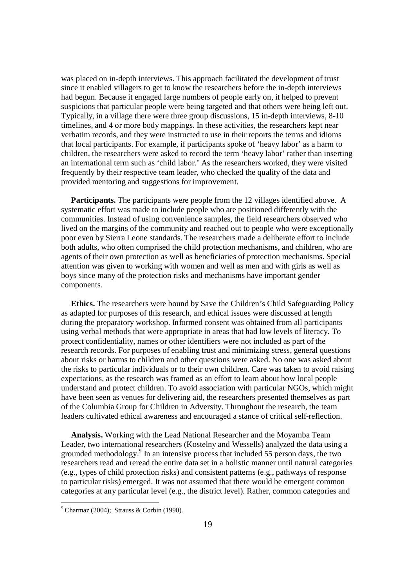was placed on in-depth interviews. This approach facilitated the development of trust since it enabled villagers to get to know the researchers before the in-depth interviews had begun. Because it engaged large numbers of people early on, it helped to prevent suspicions that particular people were being targeted and that others were being left out. Typically, in a village there were three group discussions, 15 in-depth interviews, 8-10 timelines, and 4 or more body mappings. In these activities, the researchers kept near verbatim records, and they were instructed to use in their reports the terms and idioms that local participants. For example, if participants spoke of 'heavy labor' as a harm to children, the researchers were asked to record the term 'heavy labor' rather than inserting an international term such as 'child labor.' As the researchers worked, they were visited frequently by their respective team leader, who checked the quality of the data and provided mentoring and suggestions for improvement.

 **Participants.** The participants were people from the 12 villages identified above. A systematic effort was made to include people who are positioned differently with the communities. Instead of using convenience samples, the field researchers observed who lived on the margins of the community and reached out to people who were exceptionally poor even by Sierra Leone standards. The researchers made a deliberate effort to include both adults, who often comprised the child protection mechanisms, and children, who are agents of their own protection as well as beneficiaries of protection mechanisms. Special attention was given to working with women and well as men and with girls as well as boys since many of the protection risks and mechanisms have important gender components.

 **Ethics.** The researchers were bound by Save the Children's Child Safeguarding Policy as adapted for purposes of this research, and ethical issues were discussed at length during the preparatory workshop. Informed consent was obtained from all participants using verbal methods that were appropriate in areas that had low levels of literacy. To protect confidentiality, names or other identifiers were not included as part of the research records. For purposes of enabling trust and minimizing stress, general questions about risks or harms to children and other questions were asked. No one was asked about the risks to particular individuals or to their own children. Care was taken to avoid raising expectations, as the research was framed as an effort to learn about how local people understand and protect children. To avoid association with particular NGOs, which might have been seen as venues for delivering aid, the researchers presented themselves as part of the Columbia Group for Children in Adversity. Throughout the research, the team leaders cultivated ethical awareness and encouraged a stance of critical self-reflection.

 **Analysis.** Working with the Lead National Researcher and the Moyamba Team Leader, two international researchers (Kostelny and Wessells) analyzed the data using a grounded methodology.<sup>9</sup> In an intensive process that included 55 person days, the two researchers read and reread the entire data set in a holistic manner until natural categories (e.g., types of child protection risks) and consistent patterns (e.g., pathways of response to particular risks) emerged. It was not assumed that there would be emergent common categories at any particular level (e.g., the district level). Rather, common categories and

 $\overline{a}$ 

 $9$  Charmaz (2004); Strauss & Corbin (1990).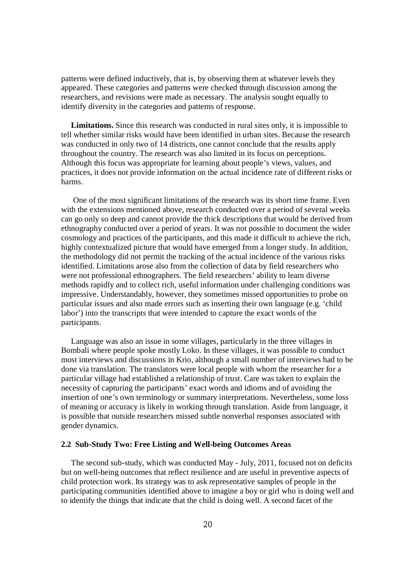patterns were defined inductively, that is, by observing them at whatever levels they appeared. These categories and patterns were checked through discussion among the researchers, and revisions were made as necessary. The analysis sought equally to identify diversity in the categories and patterns of response.

**Limitations.** Since this research was conducted in rural sites only, it is impossible to tell whether similar risks would have been identified in urban sites. Because the research was conducted in only two of 14 districts, one cannot conclude that the results apply throughout the country. The research was also limited in its focus on perceptions. Although this focus was appropriate for learning about people's views, values, and practices, it does not provide information on the actual incidence rate of different risks or harms.

 One of the most significant limitations of the research was its short time frame. Even with the extensions mentioned above, research conducted over a period of several weeks can go only so deep and cannot provide the thick descriptions that would be derived from ethnography conducted over a period of years. It was not possible to document the wider cosmology and practices of the participants, and this made it difficult to achieve the rich, highly contextualized picture that would have emerged from a longer study. In addition, the methodology did not permit the tracking of the actual incidence of the various risks identified. Limitations arose also from the collection of data by field researchers who were not professional ethnographers. The field researchers' ability to learn diverse methods rapidly and to collect rich, useful information under challenging conditions was impressive. Understandably, however, they sometimes missed opportunities to probe on particular issues and also made errors such as inserting their own language (e.g. 'child labor') into the transcripts that were intended to capture the exact words of the participants.

 Language was also an issue in some villages, particularly in the three villages in Bombali where people spoke mostly Loko. In these villages, it was possible to conduct most interviews and discussions in Krio, although a small number of interviews had to be done via translation. The translators were local people with whom the researcher for a particular village had established a relationship of trust. Care was taken to explain the necessity of capturing the participants' exact words and idioms and of avoiding the insertion of one's own terminology or summary interpretations. Nevertheless, some loss of meaning or accuracy is likely in working through translation. Aside from language, it is possible that outside researchers missed subtle nonverbal responses associated with gender dynamics.

#### **2.2 Sub-Study Two: Free Listing and Well-being Outcomes Areas**

 The second sub-study, which was conducted May - July, 2011, focused not on deficits but on well-being outcomes that reflect resilience and are useful in preventive aspects of child protection work. Its strategy was to ask representative samples of people in the participating communities identified above to imagine a boy or girl who is doing well and to identify the things that indicate that the child is doing well. A second facet of the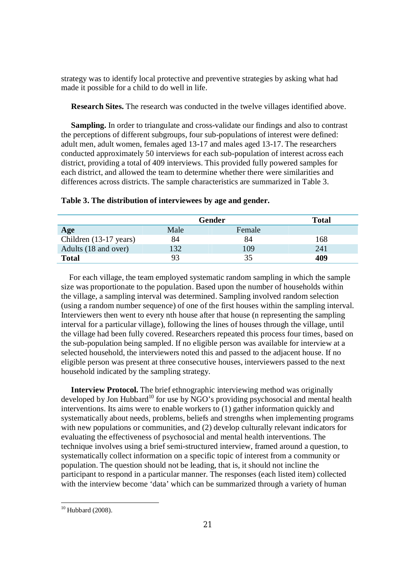strategy was to identify local protective and preventive strategies by asking what had made it possible for a child to do well in life.

**Research Sites.** The research was conducted in the twelve villages identified above.

 **Sampling.** In order to triangulate and cross-validate our findings and also to contrast the perceptions of different subgroups, four sub-populations of interest were defined: adult men, adult women, females aged 13-17 and males aged 13-17. The researchers conducted approximately 50 interviews for each sub-population of interest across each district, providing a total of 409 interviews. This provided fully powered samples for each district, and allowed the team to determine whether there were similarities and differences across districts. The sample characteristics are summarized in Table 3.

|                        | Gender | <b>Total</b> |     |
|------------------------|--------|--------------|-----|
| Age                    | Male   | Female       |     |
| Children (13-17 years) | 84     | 84           | 168 |
| Adults (18 and over)   | 132    | 109          | 241 |
| <b>Total</b>           | 93     | 35           | 409 |

#### **Table 3. The distribution of interviewees by age and gender.**

 For each village, the team employed systematic random sampling in which the sample size was proportionate to the population. Based upon the number of households within the village, a sampling interval was determined. Sampling involved random selection (using a random number sequence) of one of the first houses within the sampling interval. Interviewers then went to every nth house after that house (n representing the sampling interval for a particular village), following the lines of houses through the village, until the village had been fully covered. Researchers repeated this process four times, based on the sub-population being sampled. If no eligible person was available for interview at a selected household, the interviewers noted this and passed to the adjacent house. If no eligible person was present at three consecutive houses, interviewers passed to the next household indicated by the sampling strategy.

 **Interview Protocol.** The brief ethnographic interviewing method was originally developed by Jon Hubbard<sup>10</sup> for use by  $\overline{NGO}$ 's providing psychosocial and mental health interventions. Its aims were to enable workers to (1) gather information quickly and systematically about needs, problems, beliefs and strengths when implementing programs with new populations or communities, and (2) develop culturally relevant indicators for evaluating the effectiveness of psychosocial and mental health interventions. The technique involves using a brief semi-structured interview, framed around a question, to systematically collect information on a specific topic of interest from a community or population. The question should not be leading, that is, it should not incline the participant to respond in a particular manner. The responses (each listed item) collected with the interview become 'data' which can be summarized through a variety of human

 $\overline{a}$  $10$  Hubbard (2008).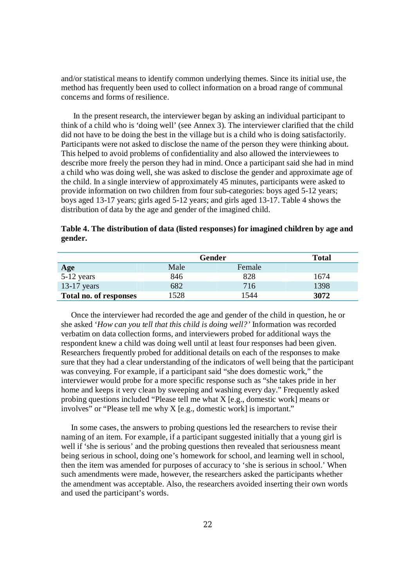and/or statistical means to identify common underlying themes. Since its initial use, the method has frequently been used to collect information on a broad range of communal concerns and forms of resilience.

 In the present research, the interviewer began by asking an individual participant to think of a child who is 'doing well' (see Annex 3). The interviewer clarified that the child did not have to be doing the best in the village but is a child who is doing satisfactorily. Participants were not asked to disclose the name of the person they were thinking about. This helped to avoid problems of confidentiality and also allowed the interviewees to describe more freely the person they had in mind. Once a participant said she had in mind a child who was doing well, she was asked to disclose the gender and approximate age of the child. In a single interview of approximately 45 minutes, participants were asked to provide information on two children from four sub-categories: boys aged 5-12 years; boys aged 13-17 years; girls aged 5-12 years; and girls aged 13-17. Table 4 shows the distribution of data by the age and gender of the imagined child.

|         | Table 4. The distribution of data (listed responses) for imagined children by age and |  |  |
|---------|---------------------------------------------------------------------------------------|--|--|
| gender. |                                                                                       |  |  |

|                        | Gender | <b>Total</b> |      |
|------------------------|--------|--------------|------|
| Age                    | Male   | Female       |      |
| $5-12$ years           | 846    | 828          | 1674 |
| $13-17$ years          | 682    | 716          | 1398 |
| Total no. of responses | 1528   | 1544         | 3072 |

 Once the interviewer had recorded the age and gender of the child in question, he or she asked '*How can you tell that this child is doing well?'* Information was recorded verbatim on data collection forms, and interviewers probed for additional ways the respondent knew a child was doing well until at least four responses had been given. Researchers frequently probed for additional details on each of the responses to make sure that they had a clear understanding of the indicators of well being that the participant was conveying. For example, if a participant said "she does domestic work," the interviewer would probe for a more specific response such as "she takes pride in her home and keeps it very clean by sweeping and washing every day." Frequently asked probing questions included "Please tell me what X [e.g., domestic work] means or involves" or "Please tell me why X [e.g., domestic work] is important."

 In some cases, the answers to probing questions led the researchers to revise their naming of an item. For example, if a participant suggested initially that a young girl is well if 'she is serious' and the probing questions then revealed that seriousness meant being serious in school, doing one's homework for school, and learning well in school, then the item was amended for purposes of accuracy to 'she is serious in school.' When such amendments were made, however, the researchers asked the participants whether the amendment was acceptable. Also, the researchers avoided inserting their own words and used the participant's words.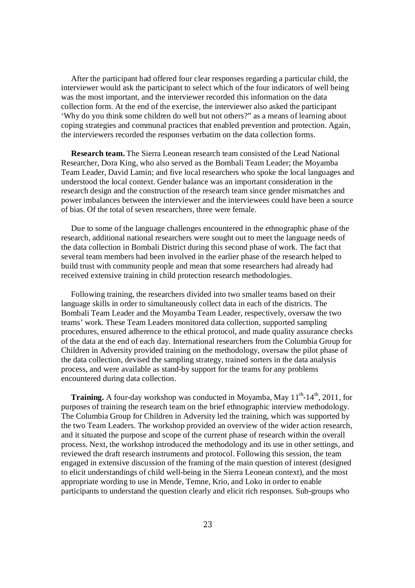After the participant had offered four clear responses regarding a particular child, the interviewer would ask the participant to select which of the four indicators of well being was the most important, and the interviewer recorded this information on the data collection form. At the end of the exercise, the interviewer also asked the participant 'Why do you think some children do well but not others?" as a means of learning about coping strategies and communal practices that enabled prevention and protection. Again, the interviewers recorded the responses verbatim on the data collection forms.

 **Research team.** The Sierra Leonean research team consisted of the Lead National Researcher, Dora King, who also served as the Bombali Team Leader; the Moyamba Team Leader, David Lamin; and five local researchers who spoke the local languages and understood the local context. Gender balance was an important consideration in the research design and the construction of the research team since gender mismatches and power imbalances between the interviewer and the interviewees could have been a source of bias. Of the total of seven researchers, three were female.

 Due to some of the language challenges encountered in the ethnographic phase of the research, additional national researchers were sought out to meet the language needs of the data collection in Bombali District during this second phase of work. The fact that several team members had been involved in the earlier phase of the research helped to build trust with community people and mean that some researchers had already had received extensive training in child protection research methodologies.

 Following training, the researchers divided into two smaller teams based on their language skills in order to simultaneously collect data in each of the districts. The Bombali Team Leader and the Moyamba Team Leader, respectively, oversaw the two teams' work. These Team Leaders monitored data collection, supported sampling procedures, ensured adherence to the ethical protocol, and made quality assurance checks of the data at the end of each day. International researchers from the Columbia Group for Children in Adversity provided training on the methodology, oversaw the pilot phase of the data collection, devised the sampling strategy, trained sorters in the data analysis process, and were available as stand-by support for the teams for any problems encountered during data collection.

**Training.** A four-day workshop was conducted in Moyamba, May 11<sup>th</sup>-14<sup>th</sup>, 2011, for purposes of training the research team on the brief ethnographic interview methodology. The Columbia Group for Children in Adversity led the training, which was supported by the two Team Leaders. The workshop provided an overview of the wider action research, and it situated the purpose and scope of the current phase of research within the overall process. Next, the workshop introduced the methodology and its use in other settings, and reviewed the draft research instruments and protocol. Following this session, the team engaged in extensive discussion of the framing of the main question of interest (designed to elicit understandings of child well-being in the Sierra Leonean context), and the most appropriate wording to use in Mende, Temne, Krio, and Loko in order to enable participants to understand the question clearly and elicit rich responses. Sub-groups who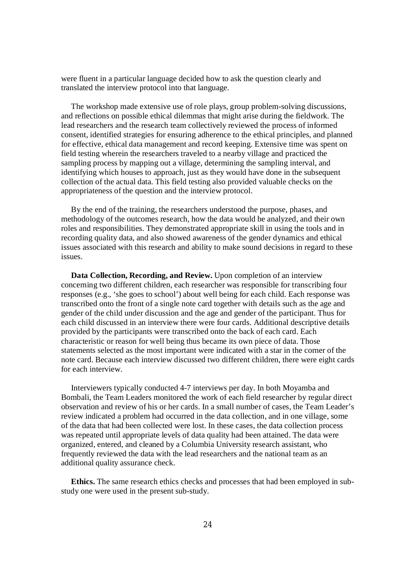were fluent in a particular language decided how to ask the question clearly and translated the interview protocol into that language.

 The workshop made extensive use of role plays, group problem-solving discussions, and reflections on possible ethical dilemmas that might arise during the fieldwork. The lead researchers and the research team collectively reviewed the process of informed consent, identified strategies for ensuring adherence to the ethical principles, and planned for effective, ethical data management and record keeping. Extensive time was spent on field testing wherein the researchers traveled to a nearby village and practiced the sampling process by mapping out a village, determining the sampling interval, and identifying which houses to approach, just as they would have done in the subsequent collection of the actual data. This field testing also provided valuable checks on the appropriateness of the question and the interview protocol.

 By the end of the training, the researchers understood the purpose, phases, and methodology of the outcomes research, how the data would be analyzed, and their own roles and responsibilities. They demonstrated appropriate skill in using the tools and in recording quality data, and also showed awareness of the gender dynamics and ethical issues associated with this research and ability to make sound decisions in regard to these issues.

 **Data Collection, Recording, and Review.** Upon completion of an interview concerning two different children, each researcher was responsible for transcribing four responses (e.g., 'she goes to school') about well being for each child. Each response was transcribed onto the front of a single note card together with details such as the age and gender of the child under discussion and the age and gender of the participant. Thus for each child discussed in an interview there were four cards. Additional descriptive details provided by the participants were transcribed onto the back of each card. Each characteristic or reason for well being thus became its own piece of data. Those statements selected as the most important were indicated with a star in the corner of the note card. Because each interview discussed two different children, there were eight cards for each interview.

 Interviewers typically conducted 4-7 interviews per day. In both Moyamba and Bombali, the Team Leaders monitored the work of each field researcher by regular direct observation and review of his or her cards. In a small number of cases, the Team Leader's review indicated a problem had occurred in the data collection, and in one village, some of the data that had been collected were lost. In these cases, the data collection process was repeated until appropriate levels of data quality had been attained. The data were organized, entered, and cleaned by a Columbia University research assistant, who frequently reviewed the data with the lead researchers and the national team as an additional quality assurance check.

 **Ethics.** The same research ethics checks and processes that had been employed in substudy one were used in the present sub-study.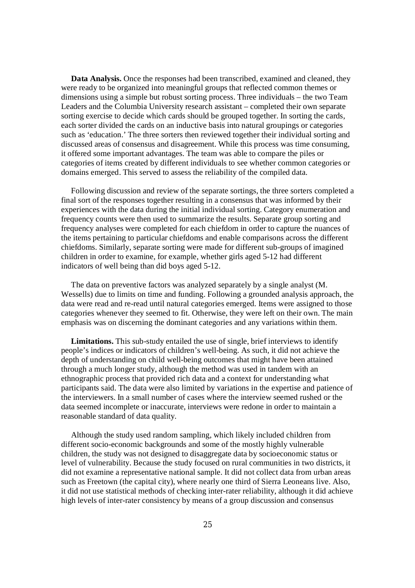**Data Analysis.** Once the responses had been transcribed, examined and cleaned, they were ready to be organized into meaningful groups that reflected common themes or dimensions using a simple but robust sorting process. Three individuals – the two Team Leaders and the Columbia University research assistant – completed their own separate sorting exercise to decide which cards should be grouped together. In sorting the cards, each sorter divided the cards on an inductive basis into natural groupings or categories such as 'education.' The three sorters then reviewed together their individual sorting and discussed areas of consensus and disagreement. While this process was time consuming, it offered some important advantages. The team was able to compare the piles or categories of items created by different individuals to see whether common categories or domains emerged. This served to assess the reliability of the compiled data.

 Following discussion and review of the separate sortings, the three sorters completed a final sort of the responses together resulting in a consensus that was informed by their experiences with the data during the initial individual sorting. Category enumeration and frequency counts were then used to summarize the results. Separate group sorting and frequency analyses were completed for each chiefdom in order to capture the nuances of the items pertaining to particular chiefdoms and enable comparisons across the different chiefdoms. Similarly, separate sorting were made for different sub-groups of imagined children in order to examine, for example, whether girls aged 5-12 had different indicators of well being than did boys aged 5-12.

 The data on preventive factors was analyzed separately by a single analyst (M. Wessells) due to limits on time and funding. Following a grounded analysis approach, the data were read and re-read until natural categories emerged. Items were assigned to those categories whenever they seemed to fit. Otherwise, they were left on their own. The main emphasis was on discerning the dominant categories and any variations within them.

 **Limitations.** This sub-study entailed the use of single, brief interviews to identify people's indices or indicators of children's well-being. As such, it did not achieve the depth of understanding on child well-being outcomes that might have been attained through a much longer study, although the method was used in tandem with an ethnographic process that provided rich data and a context for understanding what participants said. The data were also limited by variations in the expertise and patience of the interviewers. In a small number of cases where the interview seemed rushed or the data seemed incomplete or inaccurate, interviews were redone in order to maintain a reasonable standard of data quality.

 Although the study used random sampling, which likely included children from different socio-economic backgrounds and some of the mostly highly vulnerable children, the study was not designed to disaggregate data by socioeconomic status or level of vulnerability. Because the study focused on rural communities in two districts, it did not examine a representative national sample. It did not collect data from urban areas such as Freetown (the capital city), where nearly one third of Sierra Leoneans live. Also, it did not use statistical methods of checking inter-rater reliability, although it did achieve high levels of inter-rater consistency by means of a group discussion and consensus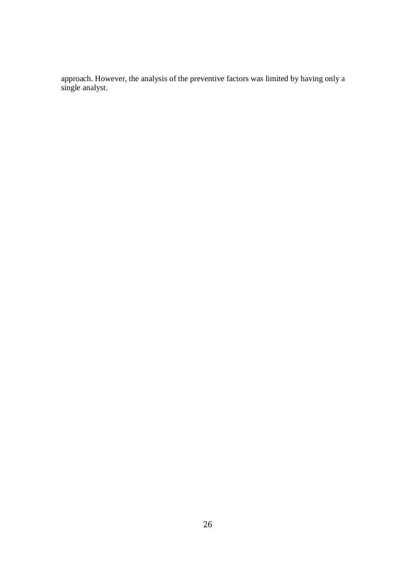approach. However, the analysis of the preventive factors was limited by having only a single analyst.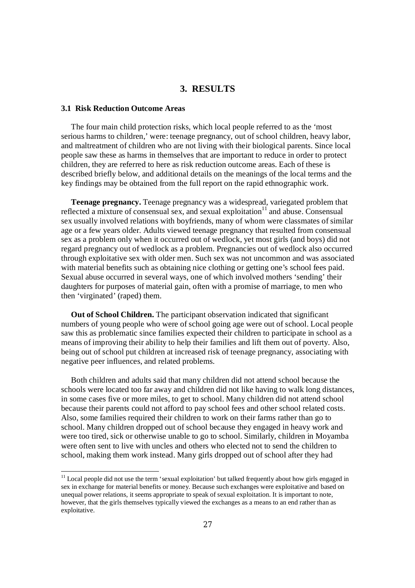## **3. RESULTS**

## **3.1 Risk Reduction Outcome Areas**

 $\overline{a}$ 

 The four main child protection risks, which local people referred to as the 'most serious harms to children,' were: teenage pregnancy, out of school children, heavy labor, and maltreatment of children who are not living with their biological parents. Since local people saw these as harms in themselves that are important to reduce in order to protect children, they are referred to here as risk reduction outcome areas. Each of these is described briefly below, and additional details on the meanings of the local terms and the key findings may be obtained from the full report on the rapid ethnographic work.

 **Teenage pregnancy.** Teenage pregnancy was a widespread, variegated problem that reflected a mixture of consensual sex, and sexual exploitation $11$  and abuse. Consensual sex usually involved relations with boyfriends, many of whom were classmates of similar age or a few years older. Adults viewed teenage pregnancy that resulted from consensual sex as a problem only when it occurred out of wedlock, yet most girls (and boys) did not regard pregnancy out of wedlock as a problem. Pregnancies out of wedlock also occurred through exploitative sex with older men. Such sex was not uncommon and was associated with material benefits such as obtaining nice clothing or getting one's school fees paid. Sexual abuse occurred in several ways, one of which involved mothers 'sending' their daughters for purposes of material gain, often with a promise of marriage, to men who then 'virginated' (raped) them.

 **Out of School Children.** The participant observation indicated that significant numbers of young people who were of school going age were out of school. Local people saw this as problematic since families expected their children to participate in school as a means of improving their ability to help their families and lift them out of poverty. Also, being out of school put children at increased risk of teenage pregnancy, associating with negative peer influences, and related problems.

 Both children and adults said that many children did not attend school because the schools were located too far away and children did not like having to walk long distances, in some cases five or more miles, to get to school. Many children did not attend school because their parents could not afford to pay school fees and other school related costs. Also, some families required their children to work on their farms rather than go to school. Many children dropped out of school because they engaged in heavy work and were too tired, sick or otherwise unable to go to school. Similarly, children in Moyamba were often sent to live with uncles and others who elected not to send the children to school, making them work instead. Many girls dropped out of school after they had

<sup>&</sup>lt;sup>11</sup> Local people did not use the term 'sexual exploitation' but talked frequently about how girls engaged in sex in exchange for material benefits or money. Because such exchanges were exploitative and based on unequal power relations, it seems appropriate to speak of sexual exploitation. It is important to note, however, that the girls themselves typically viewed the exchanges as a means to an end rather than as exploitative.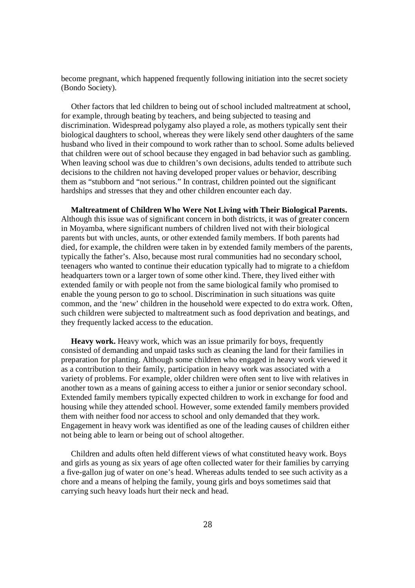become pregnant, which happened frequently following initiation into the secret society (Bondo Society).

 Other factors that led children to being out of school included maltreatment at school, for example, through beating by teachers, and being subjected to teasing and discrimination. Widespread polygamy also played a role, as mothers typically sent their biological daughters to school, whereas they were likely send other daughters of the same husband who lived in their compound to work rather than to school. Some adults believed that children were out of school because they engaged in bad behavior such as gambling. When leaving school was due to children's own decisions, adults tended to attribute such decisions to the children not having developed proper values or behavior, describing them as "stubborn and "not serious." In contrast, children pointed out the significant hardships and stresses that they and other children encounter each day.

 **Maltreatment of Children Who Were Not Living with Their Biological Parents.** Although this issue was of significant concern in both districts, it was of greater concern in Moyamba, where significant numbers of children lived not with their biological parents but with uncles, aunts, or other extended family members. If both parents had died, for example, the children were taken in by extended family members of the parents, typically the father's. Also, because most rural communities had no secondary school, teenagers who wanted to continue their education typically had to migrate to a chiefdom headquarters town or a larger town of some other kind. There, they lived either with extended family or with people not from the same biological family who promised to enable the young person to go to school. Discrimination in such situations was quite common, and the 'new' children in the household were expected to do extra work. Often, such children were subjected to maltreatment such as food deprivation and beatings, and they frequently lacked access to the education.

 **Heavy work.** Heavy work, which was an issue primarily for boys, frequently consisted of demanding and unpaid tasks such as cleaning the land for their families in preparation for planting. Although some children who engaged in heavy work viewed it as a contribution to their family, participation in heavy work was associated with a variety of problems. For example, older children were often sent to live with relatives in another town as a means of gaining access to either a junior or senior secondary school. Extended family members typically expected children to work in exchange for food and housing while they attended school. However, some extended family members provided them with neither food nor access to school and only demanded that they work. Engagement in heavy work was identified as one of the leading causes of children either not being able to learn or being out of school altogether.

 Children and adults often held different views of what constituted heavy work. Boys and girls as young as six years of age often collected water for their families by carrying a five-gallon jug of water on one's head. Whereas adults tended to see such activity as a chore and a means of helping the family, young girls and boys sometimes said that carrying such heavy loads hurt their neck and head.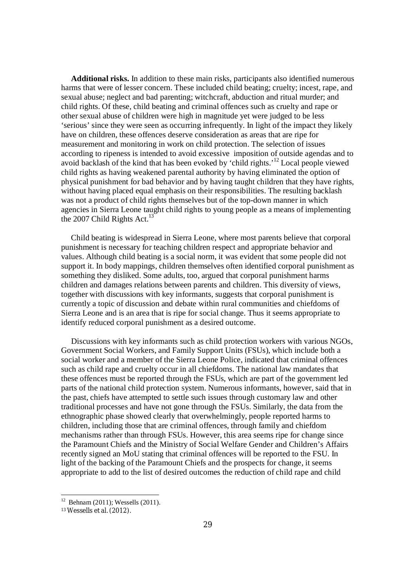**Additional risks.** In addition to these main risks, participants also identified numerous harms that were of lesser concern. These included child beating; cruelty; incest, rape, and sexual abuse; neglect and bad parenting; witchcraft, abduction and ritual murder; and child rights. Of these, child beating and criminal offences such as cruelty and rape or other sexual abuse of children were high in magnitude yet were judged to be less 'serious' since they were seen as occurring infrequently. In light of the impact they likely have on children, these offences deserve consideration as areas that are ripe for measurement and monitoring in work on child protection. The selection of issues according to ripeness is intended to avoid excessive imposition of outside agendas and to avoid backlash of the kind that has been evoked by 'child rights.'<sup>12</sup> Local people viewed child rights as having weakened parental authority by having eliminated the option of physical punishment for bad behavior and by having taught children that they have rights, without having placed equal emphasis on their responsibilities. The resulting backlash was not a product of child rights themselves but of the top-down manner in which agencies in Sierra Leone taught child rights to young people as a means of implementing the 2007 Child Rights Act.<sup>13</sup>

 Child beating is widespread in Sierra Leone, where most parents believe that corporal punishment is necessary for teaching children respect and appropriate behavior and values. Although child beating is a social norm, it was evident that some people did not support it. In body mappings, children themselves often identified corporal punishment as something they disliked. Some adults, too, argued that corporal punishment harms children and damages relations between parents and children. This diversity of views, together with discussions with key informants, suggests that corporal punishment is currently a topic of discussion and debate within rural communities and chiefdoms of Sierra Leone and is an area that is ripe for social change. Thus it seems appropriate to identify reduced corporal punishment as a desired outcome.

 Discussions with key informants such as child protection workers with various NGOs, Government Social Workers, and Family Support Units (FSUs), which include both a social worker and a member of the Sierra Leone Police, indicated that criminal offences such as child rape and cruelty occur in all chiefdoms. The national law mandates that these offences must be reported through the FSUs, which are part of the government led parts of the national child protection system. Numerous informants, however, said that in the past, chiefs have attempted to settle such issues through customary law and other traditional processes and have not gone through the FSUs. Similarly, the data from the ethnographic phase showed clearly that overwhelmingly, people reported harms to children, including those that are criminal offences, through family and chiefdom mechanisms rather than through FSUs. However, this area seems ripe for change since the Paramount Chiefs and the Ministry of Social Welfare Gender and Children's Affairs recently signed an MoU stating that criminal offences will be reported to the FSU. In light of the backing of the Paramount Chiefs and the prospects for change, it seems appropriate to add to the list of desired outcomes the reduction of child rape and child

<sup>12</sup> Behnam (2011); Wessells (2011).

<sup>13</sup> Wessells et al. (2012).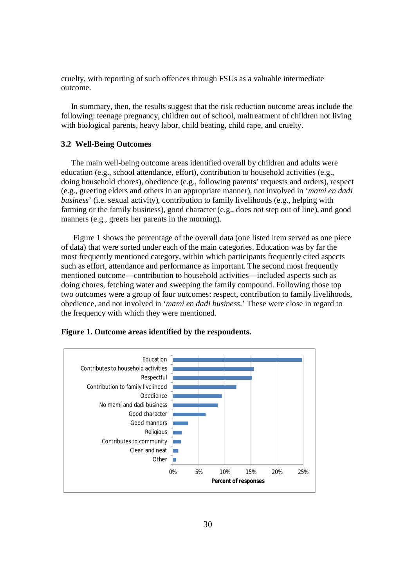cruelty, with reporting of such offences through FSUs as a valuable intermediate outcome.

 In summary, then, the results suggest that the risk reduction outcome areas include the following: teenage pregnancy, children out of school, maltreatment of children not living with biological parents, heavy labor, child beating, child rape, and cruelty.

# **3.2 Well-Being Outcomes**

 The main well-being outcome areas identified overall by children and adults were education (e.g., school attendance, effort), contribution to household activities (e.g., doing household chores), obedience (e.g., following parents' requests and orders), respect (e.g., greeting elders and others in an appropriate manner), not involved in '*mami en dadi business*' (i.e. sexual activity), contribution to family livelihoods (e.g., helping with farming or the family business), good character (e.g., does not step out of line), and good manners (e.g., greets her parents in the morning).

 Figure 1 shows the percentage of the overall data (one listed item served as one piece of data) that were sorted under each of the main categories. Education was by far the most frequently mentioned category, within which participants frequently cited aspects such as effort, attendance and performance as important. The second most frequently mentioned outcome—contribution to household activities—included aspects such as doing chores, fetching water and sweeping the family compound. Following those top two outcomes were a group of four outcomes: respect, contribution to family livelihoods, obedience, and not involved in '*mami en dadi business.*' These were close in regard to the frequency with which they were mentioned.



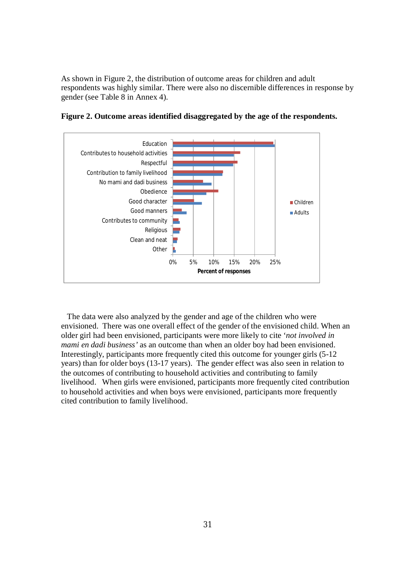As shown in Figure 2, the distribution of outcome areas for children and adult respondents was highly similar. There were also no discernible differences in response by gender (see Table 8 in Annex 4).



**Figure 2. Outcome areas identified disaggregated by the age of the respondents.**

 The data were also analyzed by the gender and age of the children who were envisioned. There was one overall effect of the gender of the envisioned child. When an older girl had been envisioned, participants were more likely to cite '*not involved in mami en dadi business'* as an outcome than when an older boy had been envisioned. Interestingly, participants more frequently cited this outcome for younger girls (5-12 years) than for older boys (13-17 years). The gender effect was also seen in relation to the outcomes of contributing to household activities and contributing to family livelihood. When girls were envisioned, participants more frequently cited contribution to household activities and when boys were envisioned, participants more frequently cited contribution to family livelihood.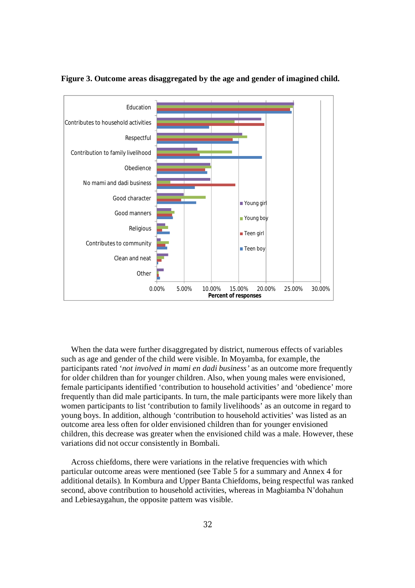

#### **Figure 3. Outcome areas disaggregated by the age and gender of imagined child.**

 When the data were further disaggregated by district, numerous effects of variables such as age and gender of the child were visible. In Moyamba, for example, the participants rated '*not involved in mami en dadi business'* as an outcome more frequently for older children than for younger children. Also, when young males were envisioned, female participants identified 'contribution to household activities' and 'obedience' more frequently than did male participants. In turn, the male participants were more likely than women participants to list 'contribution to family livelihoods' as an outcome in regard to young boys. In addition, although 'contribution to household activities' was listed as an outcome area less often for older envisioned children than for younger envisioned children, this decrease was greater when the envisioned child was a male. However, these variations did not occur consistently in Bombali.

 Across chiefdoms, there were variations in the relative frequencies with which particular outcome areas were mentioned (see Table 5 for a summary and Annex 4 for additional details). In Kombura and Upper Banta Chiefdoms, being respectful was ranked second, above contribution to household activities, whereas in Magbiamba N'dohahun and Lebiesaygahun, the opposite pattern was visible.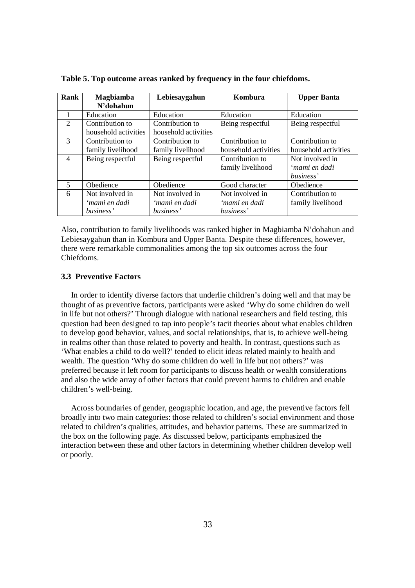| Rank           | <b>Magbiamba</b><br>N'dohahun | Lebiesaygahun        | Kombura              | <b>Upper Banta</b>   |
|----------------|-------------------------------|----------------------|----------------------|----------------------|
| 1              | Education                     | Education            | Education            | Education            |
| $\overline{2}$ | Contribution to               | Contribution to      | Being respectful     | Being respectful     |
|                | household activities          | household activities |                      |                      |
| 3              | Contribution to               | Contribution to      | Contribution to      | Contribution to      |
|                | family livelihood             | family livelihood    | household activities | household activities |
| $\overline{4}$ | Being respectful              | Being respectful     | Contribution to      | Not involved in      |
|                |                               |                      | family livelihood    | 'mami en dadi        |
|                |                               |                      |                      | business'            |
| $\overline{5}$ | Obedience                     | Obedience            | Good character       | Obedience            |
| 6              | Not involved in               | Not involved in      | Not involved in      | Contribution to      |
|                | 'mami en dadi                 | 'mami en dadi        | 'mami en dadi        | family livelihood    |
|                | business'                     | business'            | business'            |                      |

**Table 5. Top outcome areas ranked by frequency in the four chiefdoms.**

Also, contribution to family livelihoods was ranked higher in Magbiamba N'dohahun and Lebiesaygahun than in Kombura and Upper Banta. Despite these differences, however, there were remarkable commonalities among the top six outcomes across the four Chiefdoms.

#### **3.3 Preventive Factors**

 In order to identify diverse factors that underlie children's doing well and that may be thought of as preventive factors, participants were asked 'Why do some children do well in life but not others?' Through dialogue with national researchers and field testing, this question had been designed to tap into people's tacit theories about what enables children to develop good behavior, values, and social relationships, that is, to achieve well-being in realms other than those related to poverty and health. In contrast, questions such as 'What enables a child to do well?' tended to elicit ideas related mainly to health and wealth. The question 'Why do some children do well in life but not others?' was preferred because it left room for participants to discuss health or wealth considerations and also the wide array of other factors that could prevent harms to children and enable children's well-being.

 Across boundaries of gender, geographic location, and age, the preventive factors fell broadly into two main categories: those related to children's social environment and those related to children's qualities, attitudes, and behavior patterns. These are summarized in the box on the following page. As discussed below, participants emphasized the interaction between these and other factors in determining whether children develop well or poorly.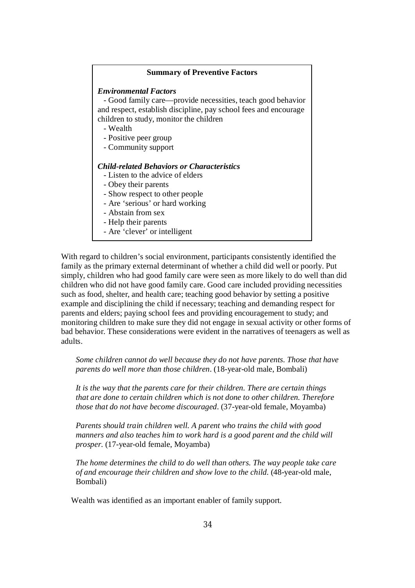#### **Summary of Preventive Factors**

#### *Environmental Factors*

 - Good family care—provide necessities, teach good behavior and respect, establish discipline, pay school fees and encourage children to study, monitor the children

- Wealth
- Positive peer group
- Community support

#### *Child-related Behaviors or Characteristics*

- Listen to the advice of elders
- Obey their parents
- Show respect to other people
- Are 'serious' or hard working
- Abstain from sex
- Help their parents
- Are 'clever' or intelligent

With regard to children's social environment, participants consistently identified the family as the primary external determinant of whether a child did well or poorly. Put simply, children who had good family care were seen as more likely to do well than did children who did not have good family care. Good care included providing necessities such as food, shelter, and health care; teaching good behavior by setting a positive example and disciplining the child if necessary; teaching and demanding respect for parents and elders; paying school fees and providing encouragement to study; and monitoring children to make sure they did not engage in sexual activity or other forms of bad behavior. These considerations were evident in the narratives of teenagers as well as adults.

*Some children cannot do well because they do not have parents. Those that have parents do well more than those children.* (18-year-old male, Bombali)

*It is the way that the parents care for their children. There are certain things that are done to certain children which is not done to other children. Therefore those that do not have become discouraged.* (37-year-old female, Moyamba)

*Parents should train children well. A parent who trains the child with good manners and also teaches him to work hard is a good parent and the child will prosper.* (17-year-old female, Moyamba)

*The home determines the child to do well than others. The way people take care of and encourage their children and show love to the child.* (48-year-old male, Bombali)

Wealth was identified as an important enabler of family support.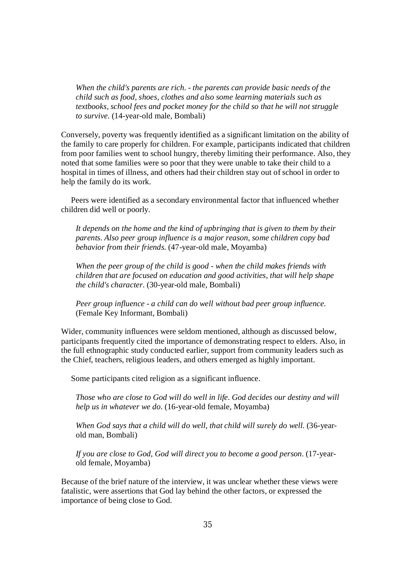*When the child's parents are rich. - the parents can provide basic needs of the child such as food, shoes, clothes and also some learning materials such as textbooks, school fees and pocket money for the child so that he will not struggle to survive.* (14-year-old male, Bombali)

Conversely, poverty was frequently identified as a significant limitation on the ability of the family to care properly for children. For example, participants indicated that children from poor families went to school hungry, thereby limiting their performance. Also, they noted that some families were so poor that they were unable to take their child to a hospital in times of illness, and others had their children stay out of school in order to help the family do its work.

 Peers were identified as a secondary environmental factor that influenced whether children did well or poorly.

*It depends on the home and the kind of upbringing that is given to them by their parents. Also peer group influence is a major reason, some children copy bad behavior from their friends.* (47-year-old male, Moyamba)

*When the peer group of the child is good - when the child makes friends with children that are focused on education and good activities, that will help shape the child's character.* (30-year-old male, Bombali)

*Peer group influence - a child can do well without bad peer group influence.* (Female Key Informant, Bombali)

Wider, community influences were seldom mentioned, although as discussed below, participants frequently cited the importance of demonstrating respect to elders. Also, in the full ethnographic study conducted earlier, support from community leaders such as the Chief, teachers, religious leaders, and others emerged as highly important.

Some participants cited religion as a significant influence.

*Those who are close to God will do well in life. God decides our destiny and will help us in whatever we do.* (16-year-old female, Moyamba)

When God says that a child will do well, that child will surely do well. (36-yearold man, Bombali)

*If you are close to God, God will direct you to become a good person.* (17-yearold female, Moyamba)

Because of the brief nature of the interview, it was unclear whether these views were fatalistic, were assertions that God lay behind the other factors, or expressed the importance of being close to God.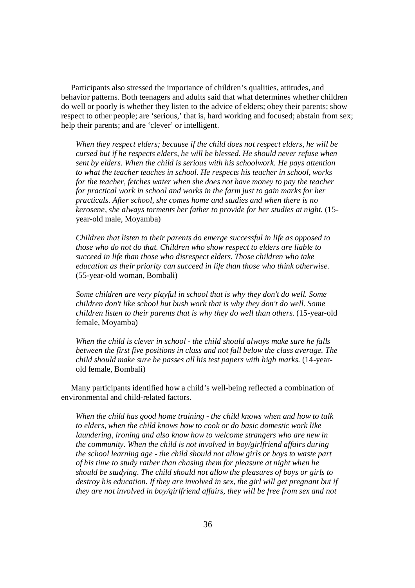Participants also stressed the importance of children's qualities, attitudes, and behavior patterns. Both teenagers and adults said that what determines whether children do well or poorly is whether they listen to the advice of elders; obey their parents; show respect to other people; are 'serious,' that is, hard working and focused; abstain from sex; help their parents; and are 'clever' or intelligent.

*When they respect elders; because if the child does not respect elders, he will be cursed but if he respects elders, he will be blessed. He should never refuse when sent by elders. When the child is serious with his schoolwork. He pays attention to what the teacher teaches in school. He respects his teacher in school, works for the teacher, fetches water when she does not have money to pay the teacher for practical work in school and works in the farm just to gain marks for her practicals. After school, she comes home and studies and when there is no kerosene, she always torments her father to provide for her studies at night.* (15 year-old male, Moyamba)

*Children that listen to their parents do emerge successful in life as opposed to those who do not do that. Children who show respect to elders are liable to succeed in life than those who disrespect elders. Those children who take education as their priority can succeed in life than those who think otherwise.* (55-year-old woman, Bombali)

*Some children are very playful in school that is why they don't do well. Some children don't like school but bush work that is why they don't do well. Some children listen to their parents that is why they do well than others.* (15-year-old female, Moyamba)

*When the child is clever in school - the child should always make sure he falls between the first five positions in class and not fall below the class average. The child should make sure he passes all his test papers with high marks.* (14-yearold female, Bombali)

 Many participants identified how a child's well-being reflected a combination of environmental and child-related factors.

*When the child has good home training - the child knows when and how to talk to elders, when the child knows how to cook or do basic domestic work like laundering, ironing and also know how to welcome strangers who are new in the community. When the child is not involved in boy/girlfriend affairs during the school learning age - the child should not allow girls or boys to waste part of his time to study rather than chasing them for pleasure at night when he should be studying. The child should not allow the pleasures of boys or girls to destroy his education. If they are involved in sex, the girl will get pregnant but if they are not involved in boy/girlfriend affairs, they will be free from sex and not*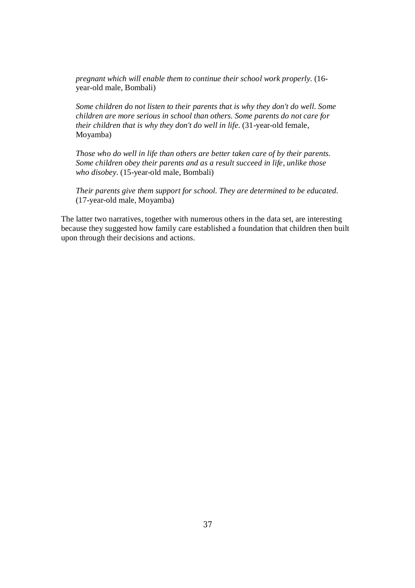*pregnant which will enable them to continue their school work properly.* (16 year-old male, Bombali)

*Some children do not listen to their parents that is why they don't do well. Some children are more serious in school than others. Some parents do not care for their children that is why they don't do well in life.* (31-year-old female, Moyamba)

*Those who do well in life than others are better taken care of by their parents. Some children obey their parents and as a result succeed in life, unlike those who disobey.* (15-year-old male, Bombali)

*Their parents give them support for school. They are determined to be educated.* (17-year-old male, Moyamba)

The latter two narratives, together with numerous others in the data set, are interesting because they suggested how family care established a foundation that children then built upon through their decisions and actions.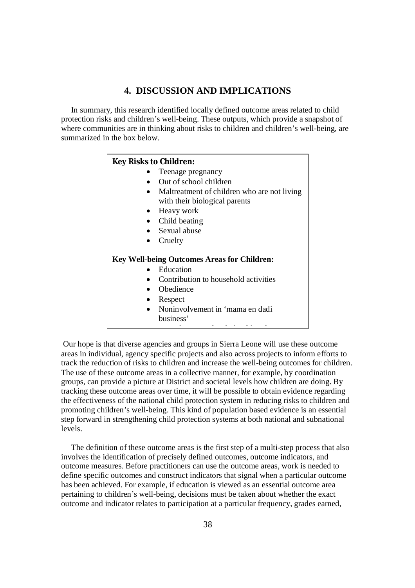# **4. DISCUSSION AND IMPLICATIONS**

 In summary, this research identified locally defined outcome areas related to child protection risks and children's well-being. These outputs, which provide a snapshot of where communities are in thinking about risks to children and children's well-being, are summarized in the box below.

| <b>Key Risks to Children:</b> |                                                                              |
|-------------------------------|------------------------------------------------------------------------------|
|                               | Teenage pregnancy                                                            |
|                               | Out of school children                                                       |
|                               | Maltreatment of children who are not living<br>with their biological parents |
|                               | Heavy work                                                                   |
|                               | Child beating                                                                |
|                               | $\bullet$ Sexual abuse                                                       |
|                               | Cruelty                                                                      |
|                               | <b>Key Well-being Outcomes Areas for Children:</b>                           |
|                               | Education                                                                    |
|                               | Contribution to household activities                                         |
|                               | Obedience                                                                    |
|                               | Respect                                                                      |
|                               | Noninvolvement in 'mama en dadi<br>business'                                 |

Our hope is that diverse agencies and groups in Sierra Leone will use these outcome areas in individual, agency specific projects and also across projects to inform efforts to track the reduction of risks to children and increase the well-being outcomes for children. The use of these outcome areas in a collective manner, for example, by coordination groups, can provide a picture at District and societal levels how children are doing. By tracking these outcome areas over time, it will be possible to obtain evidence regarding the effectiveness of the national child protection system in reducing risks to children and promoting children's well-being. This kind of population based evidence is an essential step forward in strengthening child protection systems at both national and subnational levels.

 The definition of these outcome areas is the first step of a multi-step process that also involves the identification of precisely defined outcomes, outcome indicators, and outcome measures. Before practitioners can use the outcome areas, work is needed to define specific outcomes and construct indicators that signal when a particular outcome has been achieved. For example, if education is viewed as an essential outcome area pertaining to children's well-being, decisions must be taken about whether the exact outcome and indicator relates to participation at a particular frequency, grades earned,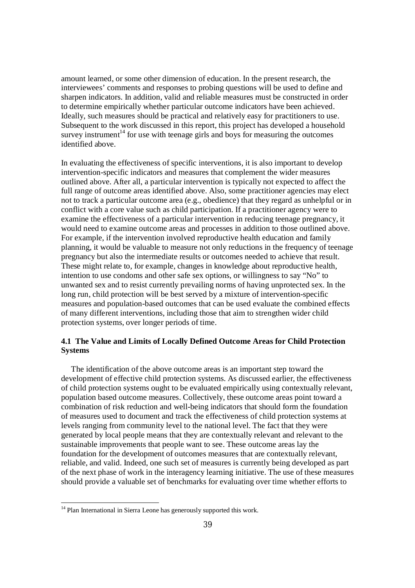amount learned, or some other dimension of education. In the present research, the interviewees' comments and responses to probing questions will be used to define and sharpen indicators. In addition, valid and reliable measures must be constructed in order to determine empirically whether particular outcome indicators have been achieved. Ideally, such measures should be practical and relatively easy for practitioners to use. Subsequent to the work discussed in this report, this project has developed a household survey instrument<sup>14</sup> for use with teenage girls and boys for measuring the outcomes identified above.

In evaluating the effectiveness of specific interventions, it is also important to develop intervention-specific indicators and measures that complement the wider measures outlined above. After all, a particular intervention is typically not expected to affect the full range of outcome areas identified above. Also, some practitioner agencies may elect not to track a particular outcome area (e.g., obedience) that they regard as unhelpful or in conflict with a core value such as child participation. If a practitioner agency were to examine the effectiveness of a particular intervention in reducing teenage pregnancy, it would need to examine outcome areas and processes in addition to those outlined above. For example, if the intervention involved reproductive health education and family planning, it would be valuable to measure not only reductions in the frequency of teenage pregnancy but also the intermediate results or outcomes needed to achieve that result. These might relate to, for example, changes in knowledge about reproductive health, intention to use condoms and other safe sex options, or willingness to say "No" to unwanted sex and to resist currently prevailing norms of having unprotected sex. In the long run, child protection will be best served by a mixture of intervention-specific measures and population-based outcomes that can be used evaluate the combined effects of many different interventions, including those that aim to strengthen wider child protection systems, over longer periods of time.

## **4.1 The Value and Limits of Locally Defined Outcome Areas for Child Protection Systems**

 The identification of the above outcome areas is an important step toward the development of effective child protection systems. As discussed earlier, the effectiveness of child protection systems ought to be evaluated empirically using contextually relevant, population based outcome measures. Collectively, these outcome areas point toward a combination of risk reduction and well-being indicators that should form the foundation of measures used to document and track the effectiveness of child protection systems at levels ranging from community level to the national level. The fact that they were generated by local people means that they are contextually relevant and relevant to the sustainable improvements that people want to see. These outcome areas lay the foundation for the development of outcomes measures that are contextually relevant, reliable, and valid. Indeed, one such set of measures is currently being developed as part of the next phase of work in the interagency learning initiative. The use of these measures should provide a valuable set of benchmarks for evaluating over time whether efforts to

 $\overline{a}$ 

<sup>&</sup>lt;sup>14</sup> Plan International in Sierra Leone has generously supported this work.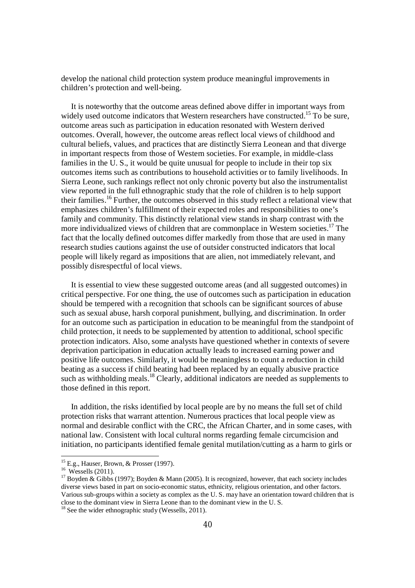develop the national child protection system produce meaningful improvements in children's protection and well-being.

 It is noteworthy that the outcome areas defined above differ in important ways from widely used outcome indicators that Western researchers have constructed.<sup>15</sup> To be sure, outcome areas such as participation in education resonated with Western derived outcomes. Overall, however, the outcome areas reflect local views of childhood and cultural beliefs, values, and practices that are distinctly Sierra Leonean and that diverge in important respects from those of Western societies. For example, in middle-class families in the U.S., it would be quite unusual for people to include in their top six outcomes items such as contributions to household activities or to family livelihoods. In Sierra Leone, such rankings reflect not only chronic poverty but also the instrumentalist view reported in the full ethnographic study that the role of children is to help support their families.<sup>16</sup> Further, the outcomes observed in this study reflect a relational view that emphasizes children's fulfillment of their expected roles and responsibilities to one's family and community. This distinctly relational view stands in sharp contrast with the more individualized views of children that are commonplace in Western societies.<sup>17</sup> The fact that the locally defined outcomes differ markedly from those that are used in many research studies cautions against the use of outsider constructed indicators that local people will likely regard as impositions that are alien, not immediately relevant, and possibly disrespectful of local views.

 It is essential to view these suggested outcome areas (and all suggested outcomes) in critical perspective. For one thing, the use of outcomes such as participation in education should be tempered with a recognition that schools can be significant sources of abuse such as sexual abuse, harsh corporal punishment, bullying, and discrimination. In order for an outcome such as participation in education to be meaningful from the standpoint of child protection, it needs to be supplemented by attention to additional, school specific protection indicators. Also, some analysts have questioned whether in contexts of severe deprivation participation in education actually leads to increased earning power and positive life outcomes. Similarly, it would be meaningless to count a reduction in child beating as a success if child beating had been replaced by an equally abusive practice such as withholding meals.<sup>18</sup> Clearly, additional indicators are needed as supplements to those defined in this report.

 In addition, the risks identified by local people are by no means the full set of child protection risks that warrant attention. Numerous practices that local people view as normal and desirable conflict with the CRC, the African Charter, and in some cases, with national law. Consistent with local cultural norms regarding female circumcision and initiation, no participants identified female genital mutilation/cutting as a harm to girls or

1

<sup>&</sup>lt;sup>15</sup> E.g., Hauser, Brown, & Prosser (1997).

<sup>&</sup>lt;sup>16</sup> Wessells (2011).

<sup>&</sup>lt;sup>17</sup> Boyden & Gibbs (1997); Boyden & Mann (2005). It is recognized, however, that each society includes diverse views based in part on socio-economic status, ethnicity, religious orientation, and other factors. Various sub-groups within a society as complex as the U. S. may have an orientation toward children that is close to the dominant view in Sierra Leone than to the dominant view in the U. S.

 $18$  See the wider ethnographic study (Wessells, 2011).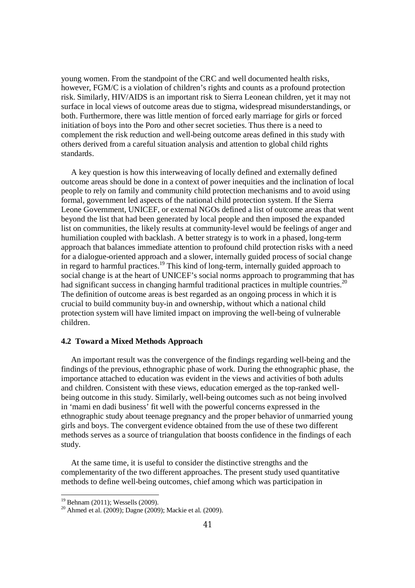young women. From the standpoint of the CRC and well documented health risks, however, FGM/C is a violation of children's rights and counts as a profound protection risk. Similarly, HIV/AIDS is an important risk to Sierra Leonean children, yet it may not surface in local views of outcome areas due to stigma, widespread misunderstandings, or both. Furthermore, there was little mention of forced early marriage for girls or forced initiation of boys into the Poro and other secret societies. Thus there is a need to complement the risk reduction and well-being outcome areas defined in this study with others derived from a careful situation analysis and attention to global child rights standards.

 A key question is how this interweaving of locally defined and externally defined outcome areas should be done in a context of power inequities and the inclination of local people to rely on family and community child protection mechanisms and to avoid using formal, government led aspects of the national child protection system. If the Sierra Leone Government, UNICEF, or external NGOs defined a list of outcome areas that went beyond the list that had been generated by local people and then imposed the expanded list on communities, the likely results at community-level would be feelings of anger and humiliation coupled with backlash. A better strategy is to work in a phased, long-term approach that balances immediate attention to profound child protection risks with a need for a dialogue-oriented approach and a slower, internally guided process of social change in regard to harmful practices.<sup>19</sup> This kind of long-term, internally guided approach to social change is at the heart of UNICEF's social norms approach to programming that has had significant success in changing harmful traditional practices in multiple countries.<sup>20</sup> The definition of outcome areas is best regarded as an ongoing process in which it is crucial to build community buy-in and ownership, without which a national child protection system will have limited impact on improving the well-being of vulnerable children.

#### **4.2 Toward a Mixed Methods Approach**

 An important result was the convergence of the findings regarding well-being and the findings of the previous, ethnographic phase of work. During the ethnographic phase, the importance attached to education was evident in the views and activities of both adults and children. Consistent with these views, education emerged as the top-ranked wellbeing outcome in this study. Similarly, well-being outcomes such as not being involved in 'mami en dadi business' fit well with the powerful concerns expressed in the ethnographic study about teenage pregnancy and the proper behavior of unmarried young girls and boys. The convergent evidence obtained from the use of these two different methods serves as a source of triangulation that boosts confidence in the findings of each study.

 At the same time, it is useful to consider the distinctive strengths and the complementarity of the two different approaches. The present study used quantitative methods to define well-being outcomes, chief among which was participation in

1

<sup>&</sup>lt;sup>19</sup> Behnam (2011); Wessells (2009).

<sup>20</sup> Ahmed et al. (2009); Dagne (2009); Mackie et al. (2009).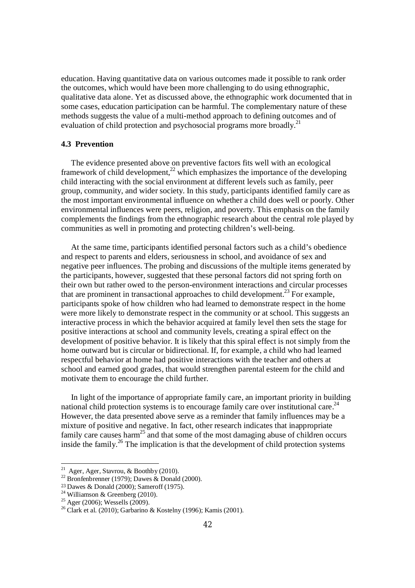education. Having quantitative data on various outcomes made it possible to rank order the outcomes, which would have been more challenging to do using ethnographic, qualitative data alone. Yet as discussed above, the ethnographic work documented that in some cases, education participation can be harmful. The complementary nature of these methods suggests the value of a multi-method approach to defining outcomes and of evaluation of child protection and psychosocial programs more broadly.<sup>21</sup>

#### **4.3 Prevention**

 The evidence presented above on preventive factors fits well with an ecological framework of child development,<sup>22</sup> which emphasizes the importance of the developing child interacting with the social environment at different levels such as family, peer group, community, and wider society. In this study, participants identified family care as the most important environmental influence on whether a child does well or poorly. Other environmental influences were peers, religion, and poverty. This emphasis on the family complements the findings from the ethnographic research about the central role played by communities as well in promoting and protecting children's well-being.

 At the same time, participants identified personal factors such as a child's obedience and respect to parents and elders, seriousness in school, and avoidance of sex and negative peer influences. The probing and discussions of the multiple items generated by the participants, however, suggested that these personal factors did not spring forth on their own but rather owed to the person-environment interactions and circular processes that are prominent in transactional approaches to child development.<sup>23</sup> For example, participants spoke of how children who had learned to demonstrate respect in the home were more likely to demonstrate respect in the community or at school. This suggests an interactive process in which the behavior acquired at family level then sets the stage for positive interactions at school and community levels, creating a spiral effect on the development of positive behavior. It is likely that this spiral effect is not simply from the home outward but is circular or bidirectional. If, for example, a child who had learned respectful behavior at home had positive interactions with the teacher and others at school and earned good grades, that would strengthen parental esteem for the child and motivate them to encourage the child further.

 In light of the importance of appropriate family care, an important priority in building national child protection systems is to encourage family care over institutional care.<sup>24</sup> However, the data presented above serve as a reminder that family influences may be a mixture of positive and negative. In fact, other research indicates that inappropriate family care causes harm<sup>25</sup> and that some of the most damaging abuse of children occurs inside the family.<sup>26</sup> The implication is that the development of child protection systems

 21 Ager, Ager, Stavrou, & Boothby (2010).

 $22$  Bronfenbrenner (1979); Dawes & Donald (2000).

<sup>23</sup> Dawes & Donald (2000); Sameroff (1975).

 $24$  Williamson & Greenberg (2010).

 $25$  Ager (2006); Wessells (2009).

<sup>&</sup>lt;sup>26</sup> Clark et al. (2010); Garbarino & Kostelny (1996); Kamis (2001).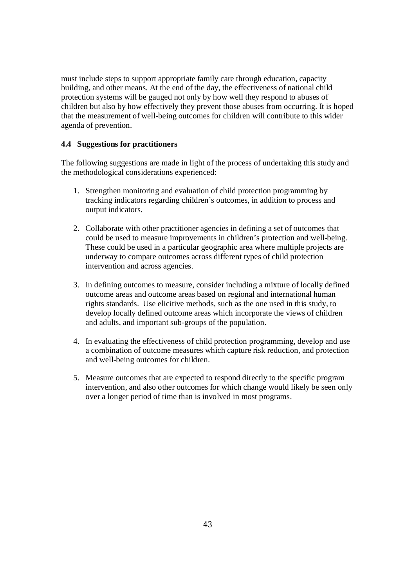must include steps to support appropriate family care through education, capacity building, and other means. At the end of the day, the effectiveness of national child protection systems will be gauged not only by how well they respond to abuses of children but also by how effectively they prevent those abuses from occurring. It is hoped that the measurement of well-being outcomes for children will contribute to this wider agenda of prevention.

## **4.4 Suggestions for practitioners**

The following suggestions are made in light of the process of undertaking this study and the methodological considerations experienced:

- 1. Strengthen monitoring and evaluation of child protection programming by tracking indicators regarding children's outcomes, in addition to process and output indicators.
- 2. Collaborate with other practitioner agencies in defining a set of outcomes that could be used to measure improvements in children's protection and well-being. These could be used in a particular geographic area where multiple projects are underway to compare outcomes across different types of child protection intervention and across agencies.
- 3. In defining outcomes to measure, consider including a mixture of locally defined outcome areas and outcome areas based on regional and international human rights standards. Use elicitive methods, such as the one used in this study, to develop locally defined outcome areas which incorporate the views of children and adults, and important sub-groups of the population.
- 4. In evaluating the effectiveness of child protection programming, develop and use a combination of outcome measures which capture risk reduction, and protection and well-being outcomes for children.
- 5. Measure outcomes that are expected to respond directly to the specific program intervention, and also other outcomes for which change would likely be seen only over a longer period of time than is involved in most programs.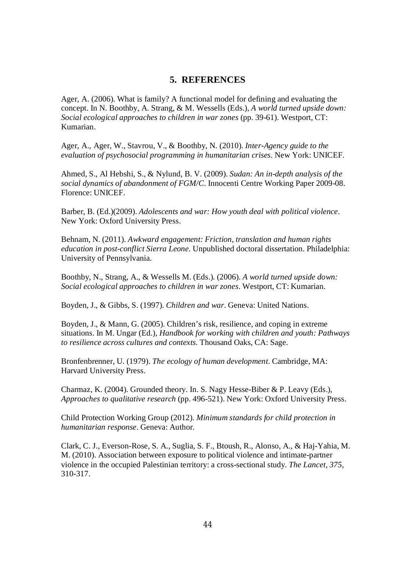# **5. REFERENCES**

Ager, A. (2006). What is family? A functional model for defining and evaluating the concept. In N. Boothby, A. Strang, & M. Wessells (Eds.), *A world turned upside down: Social ecological approaches to children in war zones* (pp. 39-61). Westport, CT: Kumarian.

Ager, A., Ager, W., Stavrou, V., & Boothby, N. (2010). *Inter-Agency guide to the evaluation of psychosocial programming in humanitarian crises.* New York: UNICEF.

Ahmed, S., Al Hebshi, S., & Nylund, B. V. (2009). *Sudan: An in-depth analysis of the social dynamics of abandonment of FGM/C*. Innocenti Centre Working Paper 2009-08. Florence: UNICEF.

Barber, B. (Ed.)(2009). *Adolescents and war: How youth deal with political violence*. New York: Oxford University Press.

Behnam, N. (2011). *Awkward engagement: Friction, translation and human rights education in post-conflict Sierra Leone.* Unpublished doctoral dissertation. Philadelphia: University of Pennsylvania.

Boothby, N., Strang, A., & Wessells M. (Eds.). (2006). *A world turned upside down: Social ecological approaches to children in war zones*. Westport, CT: Kumarian.

Boyden, J., & Gibbs, S. (1997). *Children and war*. Geneva: United Nations.

Boyden, J., & Mann, G. (2005). Children's risk, resilience, and coping in extreme situations. In M. Ungar (Ed.), *Handbook for working with children and youth: Pathways to resilience across cultures and contexts*. Thousand Oaks, CA: Sage.

Bronfenbrenner, U. (1979). *The ecology of human development*. Cambridge, MA: Harvard University Press.

Charmaz, K. (2004). Grounded theory. In. S. Nagy Hesse-Biber & P. Leavy (Eds.), *Approaches to qualitative research* (pp. 496-521). New York: Oxford University Press.

Child Protection Working Group (2012). *Minimum standards for child protection in humanitarian response*. Geneva: Author.

Clark, C. J., Everson-Rose, S. A., Suglia, S. F., Btoush, R., Alonso, A., & Haj-Yahia, M. M. (2010). Association between exposure to political violence and intimate-partner violence in the occupied Palestinian territory: a cross-sectional study. *The Lancet, 375,* 310-317.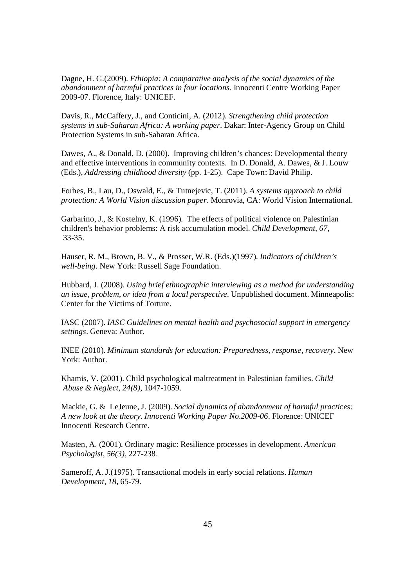Dagne, H. G.(2009). *Ethiopia: A comparative analysis of the social dynamics of the abandonment of harmful practices in four locations.* Innocenti Centre Working Paper 2009-07. Florence, Italy: UNICEF.

Davis, R., McCaffery, J., and Conticini, A. (2012). *Strengthening child protection systems in sub-Saharan Africa: A working paper*. Dakar: Inter-Agency Group on Child Protection Systems in sub-Saharan Africa.

Dawes, A., & Donald, D. (2000). Improving children's chances: Developmental theory and effective interventions in community contexts. In D. Donald, A. Dawes, & J. Louw (Eds.), *Addressing childhood diversity* (pp. 1-25). Cape Town: David Philip.

Forbes, B., Lau, D., Oswald, E., & Tutnejevic, T. (2011). *A systems approach to child protection: A World Vision discussion paper*. Monrovia, CA: World Vision International.

Garbarino, J., & Kostelny, K. (1996). The effects of political violence on Palestinian children's behavior problems: A risk accumulation model. *Child Development, 67,* 33-35.

Hauser, R. M., Brown, B. V., & Prosser, W.R. (Eds.)(1997). *Indicators of children's well-being*. New York: Russell Sage Foundation.

Hubbard, J. (2008). *Using brief ethnographic interviewing as a method for understanding an issue, problem, or idea from a local perspective.* Unpublished document. Minneapolis: Center for the Victims of Torture.

IASC (2007). *IASC Guidelines on mental health and psychosocial support in emergency settings*. Geneva: Author.

INEE (2010). *Minimum standards for education: Preparedness, response, recovery*. New York: Author.

Khamis, V. (2001). Child psychological maltreatment in Palestinian families. *Child Abuse & Neglect, 24(8)*, 1047-1059.

Mackie, G. & LeJeune, J. (2009). *Social dynamics of abandonment of harmful practices: A new look at the theory. Innocenti Working Paper No.2009-06*. Florence: UNICEF Innocenti Research Centre.

Masten, A. (2001). Ordinary magic: Resilience processes in development. *American Psychologist, 56(3)*, 227-238.

Sameroff, A. J.(1975). Transactional models in early social relations. *Human Development, 18*, 65-79.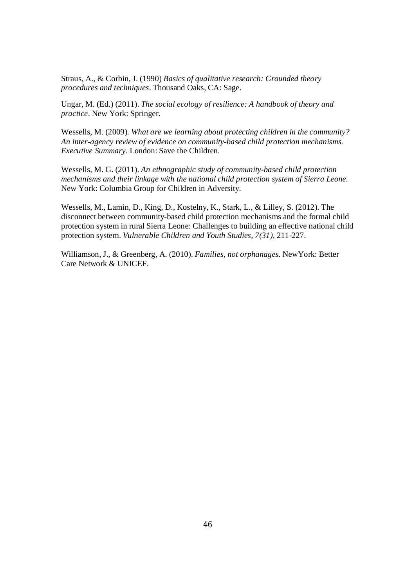Straus, A., & Corbin, J. (1990) *Basics of qualitative research: Grounded theory procedures and techniques*. Thousand Oaks, CA: Sage.

Ungar, M. (Ed.) (2011). *The social ecology of resilience: A handbook of theory and practice*. New York: Springer.

Wessells, M. (2009). *What are we learning about protecting children in the community? An inter-agency review of evidence on community-based child protection mechanisms. Executive Summary*. London: Save the Children.

Wessells, M. G. (2011). *An ethnographic study of community-based child protection mechanisms and their linkage with the national child protection system of Sierra Leone.* New York: Columbia Group for Children in Adversity.

Wessells, M., Lamin, D., King, D., Kostelny, K., Stark, L., & Lilley, S. (2012). The disconnect between community-based child protection mechanisms and the formal child protection system in rural Sierra Leone: Challenges to building an effective national child protection system. *Vulnerable Children and Youth Studies*, *7(31)*, 211-227.

Williamson, J., & Greenberg, A. (2010). *Families, not orphanages*. NewYork: Better Care Network & UNICEF.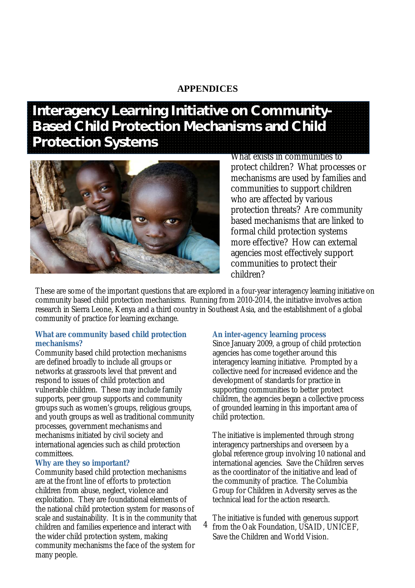# **APPENDICES**

# **Interagency Learning Initiative on Community-Based Child Protection Mechanisms and Child Protection Systems**



What exists in communities to protect children? What processes or mechanisms are used by families and communities to support children who are affected by various protection threats? Are community based mechanisms that are linked to formal child protection systems more effective? How can external agencies most effectively support communities to protect their children?

These are some of the important questions that are explored in a four-year interagency learning initiative on community based child protection mechanisms. Running from 2010-2014, the initiative involves action research in Sierra Leone, Kenya and a third country in Southeast Asia, and the establishment of a global community of practice for learning exchange.

## **What are community based child protection mechanisms?**

Community based child protection mechanisms are defined broadly to include all groups or networks at grassroots level that prevent and respond to issues of child protection and vulnerable children. These may include family supports, peer group supports and community groups such as women's groups, religious groups, and youth groups as well as traditional community processes, government mechanisms and mechanisms initiated by civil society and international agencies such as child protection committees.

# **Why are they so important?**

Community based child protection mechanisms are at the front line of efforts to protection children from abuse, neglect, violence and exploitation. They are foundational elements of the national child protection system for reasons of scale and sustainability. It is in the community that children and families experience and interact with the wider child protection system, making community mechanisms the face of the system for many people.

#### **An inter-agency learning process**

Since January 2009, a group of child protection agencies has come together around this interagency learning initiative. Prompted by a collective need for increased evidence and the development of standards for practice in supporting communities to better protect children, the agencies began a collective process of grounded learning in this important area of child protection.

The initiative is implemented through strong interagency partnerships and overseen by a global reference group involving 10 national and international agencies. Save the Children serves as the coordinator of the initiative and lead of the community of practice. The Columbia Group for Children in Adversity serves as the technical lead for the action research.

47 The initiative is funded with generous support from the Oak Foundation, USAID, UNICEF, Save the Children and World Vision.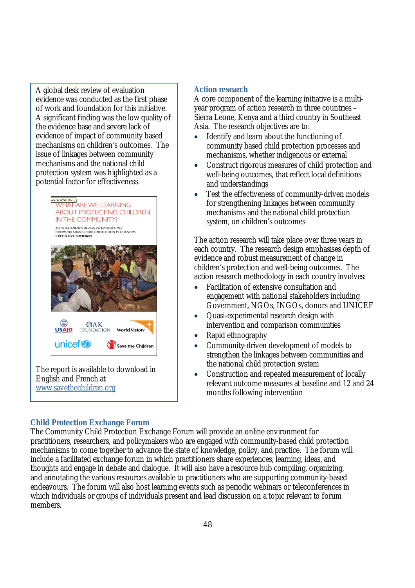A global desk review of evaluation evidence was conducted as the first phase of work and foundation for this initiative. A significant finding was the low quality of the evidence base and severe lack of evidence of impact of community based mechanisms on children's outcomes. The issue of linkages between community mechanisms and the national child protection system was highlighted as a potential factor for effectiveness.



The report is available to download in English and French at www.savethechildren.org

# **Action research**

A core component of the learning initiative is a multiyear program of action research in three countries – Sierra Leone, Kenya and a third country in Southeast Asia. The research objectives are to:

- Identify and learn about the functioning of community based child protection processes and mechanisms, whether indigenous or external
- Construct rigorous measures of child protection and well-being outcomes, that reflect local definitions and understandings
- Test the effectiveness of community-driven models for strengthening linkages between community mechanisms and the national child protection system, on children's outcomes

The action research will take place over three years in each country. The research design emphasises depth of evidence and robust measurement of change in children's protection and well-being outcomes. The action research methodology in each country involves:

- Facilitation of extensive consultation and engagement with national stakeholders including Government, NGOs, INGOs, donors and UNICEF
- Quasi-experimental research design with intervention and comparison communities
- Rapid ethnography
- Community-driven development of models to strengthen the linkages between communities and the national child protection system
- Construction and repeated measurement of locally relevant outcome measures at baseline and 12 and 24 months following intervention

# **Child Protection Exchange Forum**

The Community Child Protection Exchange Forum will provide an online environment for practitioners, researchers, and policymakers who are engaged with community-based child protection mechanisms to come together to advance the state of knowledge, policy, and practice. The forum will include a facilitated exchange forum in which practitioners share experiences, learning, ideas, and thoughts and engage in debate and dialogue. It will also have a resource hub compiling, organizing, and annotating the various resources available to practitioners who are supporting community-based endeavours. The forum will also host learning events such as periodic webinars or teleconferences in which individuals or groups of individuals present and lead discussion on a topic relevant to forum members.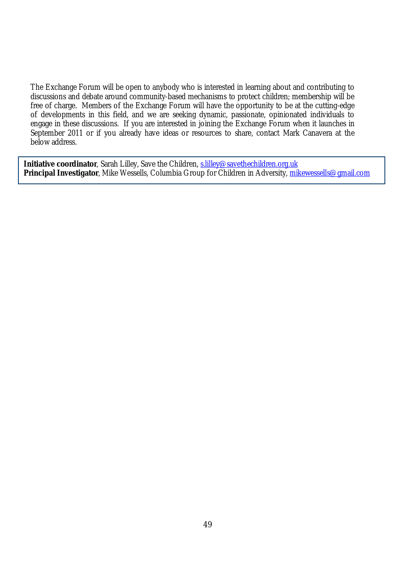The Exchange Forum will be open to anybody who is interested in learning about and contributing to discussions and debate around community-based mechanisms to protect children; membership will be free of charge. Members of the Exchange Forum will have the opportunity to be at the cutting-edge of developments in this field, and we are seeking dynamic, passionate, opinionated individuals to engage in these discussions. If you are interested in joining the Exchange Forum when it launches in September 2011 or if you already have ideas or resources to share, contact Mark Canavera at the below address.

**Initiative coordinator**, Sarah Lilley, Save the Children, s.lilley@savethechildren.org.uk **Principal Investigator**, Mike Wessells, Columbia Group for Children in Adversity, mikewessells@gmail.com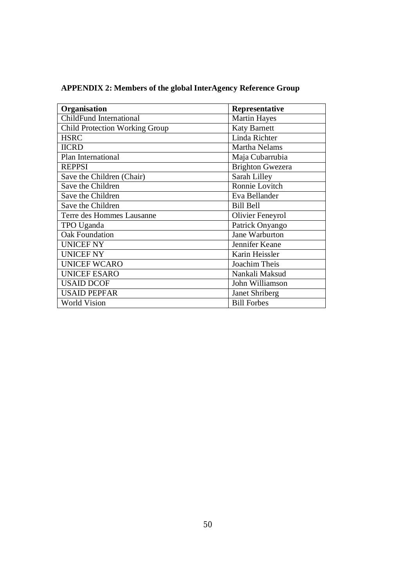| Organisation                          | Representative          |
|---------------------------------------|-------------------------|
| <b>ChildFund International</b>        | <b>Martin Hayes</b>     |
| <b>Child Protection Working Group</b> | <b>Katy Barnett</b>     |
| <b>HSRC</b>                           | Linda Richter           |
| <b>IICRD</b>                          | Martha Nelams           |
| Plan International                    | Maja Cubarrubia         |
| <b>REPPSI</b>                         | <b>Brighton Gwezera</b> |
| Save the Children (Chair)             | Sarah Lilley            |
| Save the Children                     | Ronnie Lovitch          |
| Save the Children                     | Eva Bellander           |
| Save the Children                     | <b>Bill Bell</b>        |
| Terre des Hommes Lausanne             | Olivier Feneyrol        |
| TPO Uganda                            | Patrick Onyango         |
| <b>Oak Foundation</b>                 | <b>Jane Warburton</b>   |
| <b>UNICEF NY</b>                      | Jennifer Keane          |
| <b>UNICEF NY</b>                      | Karin Heissler          |
| <b>UNICEF WCARO</b>                   | Joachim Theis           |
| <b>UNICEF ESARO</b>                   | Nankali Maksud          |
| <b>USAID DCOF</b>                     | John Williamson         |
| <b>USAID PEPFAR</b>                   | Janet Shriberg          |
| <b>World Vision</b>                   | <b>Bill Forbes</b>      |

**APPENDIX 2: Members of the global InterAgency Reference Group**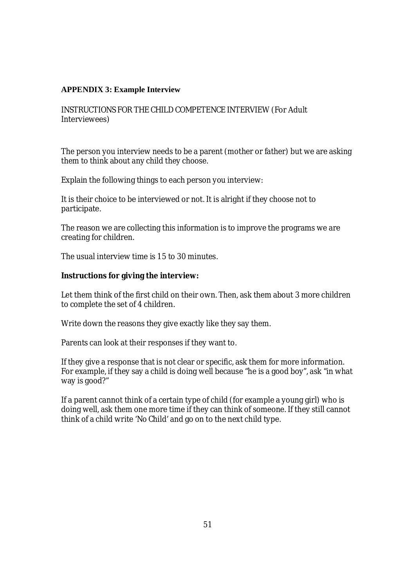# **APPENDIX 3: Example Interview**

INSTRUCTIONS FOR THE CHILD COMPETENCE INTERVIEW (For Adult Interviewees)

The person you interview needs to be a parent (mother or father) but we are asking them to think about any child they choose.

Explain the following things to each person you interview:

It is their choice to be interviewed or not. It is alright if they choose not to participate.

The reason we are collecting this information is to improve the programs we are creating for children.

The usual interview time is 15 to 30 minutes.

## **Instructions for giving the interview:**

Let them think of the first child on their own. Then, ask them about 3 more children to complete the set of 4 children.

Write down the reasons they give exactly like they say them.

Parents can look at their responses if they want to.

If they give a response that is not clear or specific, ask them for more information. For example, if they say a child is doing well because "he is a good boy", ask "in what way is good?"

If a parent cannot think of a certain type of child (for example a young girl) who is doing well, ask them one more time if they can think of someone. If they still cannot think of a child write 'No Child' and go on to the next child type.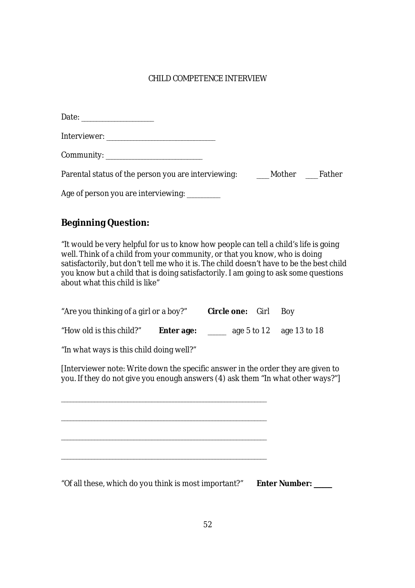# CHILD COMPETENCE INTERVIEW

| Community: _________________________                                             |  |
|----------------------------------------------------------------------------------|--|
| Parental status of the person you are interviewing: ________ Mother _____ Father |  |
| Age of person you are interviewing: _________                                    |  |

# **Beginning Question:**

"It would be very helpful for us to know how people can tell a child's life is going well. Think of a child from your community, or that you know, who is doing satisfactorily, but don't tell me who it is. The child doesn't have to be the best child you know but a child that is doing satisfactorily. I am going to ask some questions about what this child is like"

| "Are you thinking of a girl or a boy?" |            | <b>Circle one:</b> Girl Boy |                          |
|----------------------------------------|------------|-----------------------------|--------------------------|
| "How old is this child?"               | Enter age: |                             | age 5 to 12 age 13 to 18 |

"In what ways is this child doing well?"

[Interviewer note: Write down the specific answer in the order they are given to you. If they do not give you enough answers (4) ask them "In what other ways?"]

\_\_\_\_\_\_\_\_\_\_\_\_\_\_\_\_\_\_\_\_\_\_\_\_\_\_\_\_\_\_\_\_\_\_\_\_\_\_\_\_\_\_\_\_\_\_\_\_\_\_\_\_\_\_\_\_\_\_\_\_\_\_\_\_\_\_\_\_ \_\_\_\_\_\_\_\_\_\_\_\_\_\_\_\_\_\_\_\_\_\_\_\_\_\_\_\_\_\_\_\_\_\_\_\_\_\_\_\_\_\_\_\_\_\_\_\_\_\_\_\_\_\_\_\_\_\_\_\_\_\_\_\_\_\_\_\_ \_\_\_\_\_\_\_\_\_\_\_\_\_\_\_\_\_\_\_\_\_\_\_\_\_\_\_\_\_\_\_\_\_\_\_\_\_\_\_\_\_\_\_\_\_\_\_\_\_\_\_\_\_\_\_\_\_\_\_\_\_\_\_\_\_\_\_\_ \_\_\_\_\_\_\_\_\_\_\_\_\_\_\_\_\_\_\_\_\_\_\_\_\_\_\_\_\_\_\_\_\_\_\_\_\_\_\_\_\_\_\_\_\_\_\_\_\_\_\_\_\_\_\_\_\_\_\_\_\_\_\_\_\_\_\_\_

"Of all these, which do you think is most important?" **Enter Number: \_\_\_\_\_\_**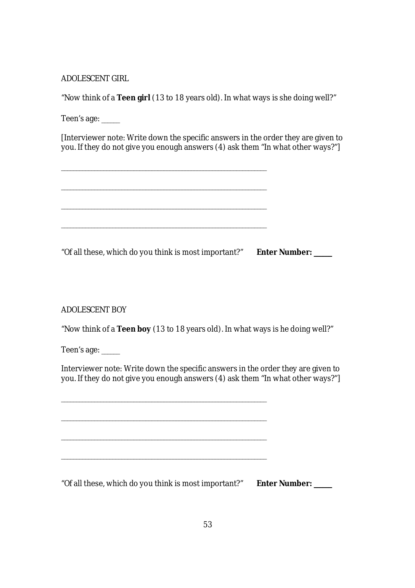# ADOLESCENT GIRL

"Now think of a **Teen girl** (13 to 18 years old). In what ways is she doing well?"

Teen's age: \_\_\_\_\_\_

[Interviewer note: Write down the specific answers in the order they are given to you. If they do not give you enough answers (4) ask them "In what other ways?"]

\_\_\_\_\_\_\_\_\_\_\_\_\_\_\_\_\_\_\_\_\_\_\_\_\_\_\_\_\_\_\_\_\_\_\_\_\_\_\_\_\_\_\_\_\_\_\_\_\_\_\_\_\_\_\_\_\_\_\_\_\_\_\_\_\_\_\_\_ "Of all these, which do you think is most important?" **Enter Number: \_\_\_\_\_\_**

\_\_\_\_\_\_\_\_\_\_\_\_\_\_\_\_\_\_\_\_\_\_\_\_\_\_\_\_\_\_\_\_\_\_\_\_\_\_\_\_\_\_\_\_\_\_\_\_\_\_\_\_\_\_\_\_\_\_\_\_\_\_\_\_\_\_\_\_

\_\_\_\_\_\_\_\_\_\_\_\_\_\_\_\_\_\_\_\_\_\_\_\_\_\_\_\_\_\_\_\_\_\_\_\_\_\_\_\_\_\_\_\_\_\_\_\_\_\_\_\_\_\_\_\_\_\_\_\_\_\_\_\_\_\_\_\_

\_\_\_\_\_\_\_\_\_\_\_\_\_\_\_\_\_\_\_\_\_\_\_\_\_\_\_\_\_\_\_\_\_\_\_\_\_\_\_\_\_\_\_\_\_\_\_\_\_\_\_\_\_\_\_\_\_\_\_\_\_\_\_\_\_\_\_\_

\_\_\_\_\_\_\_\_\_\_\_\_\_\_\_\_\_\_\_\_\_\_\_\_\_\_\_\_\_\_\_\_\_\_\_\_\_\_\_\_\_\_\_\_\_\_\_\_\_\_\_\_\_\_\_\_\_\_\_\_\_\_\_\_\_\_\_\_

\_\_\_\_\_\_\_\_\_\_\_\_\_\_\_\_\_\_\_\_\_\_\_\_\_\_\_\_\_\_\_\_\_\_\_\_\_\_\_\_\_\_\_\_\_\_\_\_\_\_\_\_\_\_\_\_\_\_\_\_\_\_\_\_\_\_\_\_

\_\_\_\_\_\_\_\_\_\_\_\_\_\_\_\_\_\_\_\_\_\_\_\_\_\_\_\_\_\_\_\_\_\_\_\_\_\_\_\_\_\_\_\_\_\_\_\_\_\_\_\_\_\_\_\_\_\_\_\_\_\_\_\_\_\_\_\_

ADOLESCENT BOY

"Now think of a **Teen boy** (13 to 18 years old). In what ways is he doing well?"

Teen's age: \_\_\_\_\_\_

Interviewer note: Write down the specific answers in the order they are given to you. If they do not give you enough answers (4) ask them "In what other ways?"]

"Of all these, which do you think is most important?" **Enter Number: \_\_\_\_\_\_**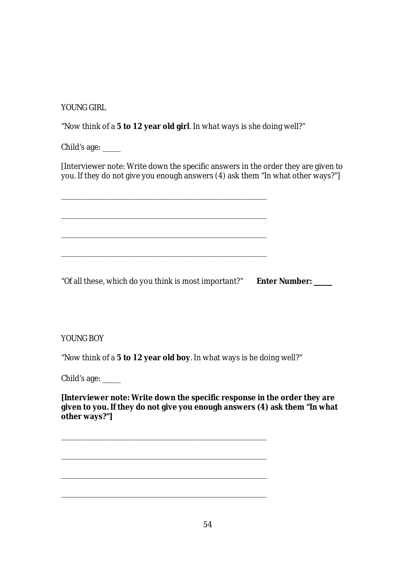YOUNG GIRL

"Now think of a **5 to 12 year old girl**. In what ways is she doing well?"

Child's age: \_\_\_\_\_\_

[Interviewer note: Write down the specific answers in the order they are given to you. If they do not give you enough answers (4) ask them "In what other ways?"]

\_\_\_\_\_\_\_\_\_\_\_\_\_\_\_\_\_\_\_\_\_\_\_\_\_\_\_\_\_\_\_\_\_\_\_\_\_\_\_\_\_\_\_\_\_\_\_\_\_\_\_\_\_\_\_\_\_\_\_\_\_\_\_\_\_\_\_\_  $\mathcal{L}_\text{max} = \mathcal{L}_\text{max} = \mathcal{L}_\text{max} = \mathcal{L}_\text{max} = \mathcal{L}_\text{max} = \mathcal{L}_\text{max} = \mathcal{L}_\text{max} = \mathcal{L}_\text{max} = \mathcal{L}_\text{max} = \mathcal{L}_\text{max} = \mathcal{L}_\text{max} = \mathcal{L}_\text{max} = \mathcal{L}_\text{max} = \mathcal{L}_\text{max} = \mathcal{L}_\text{max} = \mathcal{L}_\text{max} = \mathcal{L}_\text{max} = \mathcal{L}_\text{max} = \mathcal{$ \_\_\_\_\_\_\_\_\_\_\_\_\_\_\_\_\_\_\_\_\_\_\_\_\_\_\_\_\_\_\_\_\_\_\_\_\_\_\_\_\_\_\_\_\_\_\_\_\_\_\_\_\_\_\_\_\_\_\_\_\_\_\_\_\_\_\_\_ \_\_\_\_\_\_\_\_\_\_\_\_\_\_\_\_\_\_\_\_\_\_\_\_\_\_\_\_\_\_\_\_\_\_\_\_\_\_\_\_\_\_\_\_\_\_\_\_\_\_\_\_\_\_\_\_\_\_\_\_\_\_\_\_\_\_\_\_

"Of all these, which do you think is most important?" **Enter Number: \_\_\_\_\_\_**

YOUNG BOY

"Now think of a **5 to 12 year old boy**. In what ways is he doing well?"

Child's age: \_\_\_\_\_\_

**[Interviewer note: Write down the specific response in the order they are given to you. If they do not give you enough answers (4) ask them "In what other ways?"]**

\_\_\_\_\_\_\_\_\_\_\_\_\_\_\_\_\_\_\_\_\_\_\_\_\_\_\_\_\_\_\_\_\_\_\_\_\_\_\_\_\_\_\_\_\_\_\_\_\_\_\_\_\_\_\_\_\_\_\_\_\_\_\_\_\_\_\_\_ \_\_\_\_\_\_\_\_\_\_\_\_\_\_\_\_\_\_\_\_\_\_\_\_\_\_\_\_\_\_\_\_\_\_\_\_\_\_\_\_\_\_\_\_\_\_\_\_\_\_\_\_\_\_\_\_\_\_\_\_\_\_\_\_\_\_\_\_ \_\_\_\_\_\_\_\_\_\_\_\_\_\_\_\_\_\_\_\_\_\_\_\_\_\_\_\_\_\_\_\_\_\_\_\_\_\_\_\_\_\_\_\_\_\_\_\_\_\_\_\_\_\_\_\_\_\_\_\_\_\_\_\_\_\_\_\_ \_\_\_\_\_\_\_\_\_\_\_\_\_\_\_\_\_\_\_\_\_\_\_\_\_\_\_\_\_\_\_\_\_\_\_\_\_\_\_\_\_\_\_\_\_\_\_\_\_\_\_\_\_\_\_\_\_\_\_\_\_\_\_\_\_\_\_\_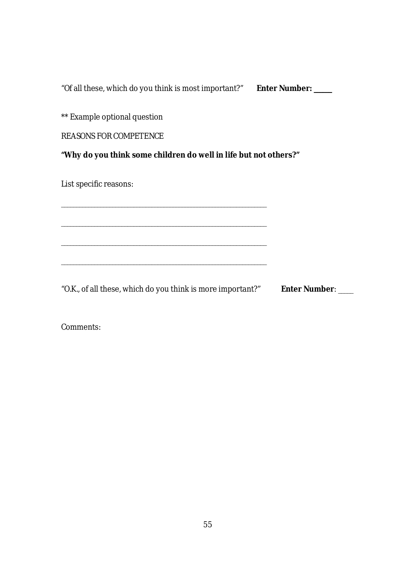"Of all these, which do you think is most important?" **Enter Number: \_\_\_\_\_\_**

\*\* Example optional question

REASONS FOR COMPETENCE

**"Why do you think some children do well in life but not others?"**

\_\_\_\_\_\_\_\_\_\_\_\_\_\_\_\_\_\_\_\_\_\_\_\_\_\_\_\_\_\_\_\_\_\_\_\_\_\_\_\_\_\_\_\_\_\_\_\_\_\_\_\_\_\_\_\_\_\_\_\_\_\_\_\_\_\_\_\_

\_\_\_\_\_\_\_\_\_\_\_\_\_\_\_\_\_\_\_\_\_\_\_\_\_\_\_\_\_\_\_\_\_\_\_\_\_\_\_\_\_\_\_\_\_\_\_\_\_\_\_\_\_\_\_\_\_\_\_\_\_\_\_\_\_\_\_\_

 $\mathcal{L}_\mathcal{L} = \mathcal{L}_\mathcal{L} = \mathcal{L}_\mathcal{L} = \mathcal{L}_\mathcal{L} = \mathcal{L}_\mathcal{L} = \mathcal{L}_\mathcal{L} = \mathcal{L}_\mathcal{L} = \mathcal{L}_\mathcal{L} = \mathcal{L}_\mathcal{L} = \mathcal{L}_\mathcal{L} = \mathcal{L}_\mathcal{L} = \mathcal{L}_\mathcal{L} = \mathcal{L}_\mathcal{L} = \mathcal{L}_\mathcal{L} = \mathcal{L}_\mathcal{L} = \mathcal{L}_\mathcal{L} = \mathcal{L}_\mathcal{L}$ 

\_\_\_\_\_\_\_\_\_\_\_\_\_\_\_\_\_\_\_\_\_\_\_\_\_\_\_\_\_\_\_\_\_\_\_\_\_\_\_\_\_\_\_\_\_\_\_\_\_\_\_\_\_\_\_\_\_\_\_\_\_\_\_\_\_\_\_\_

List specific reasons:

"O.K., of all these, which do you think is more important?" **Enter Number**: \_\_\_\_\_

Comments: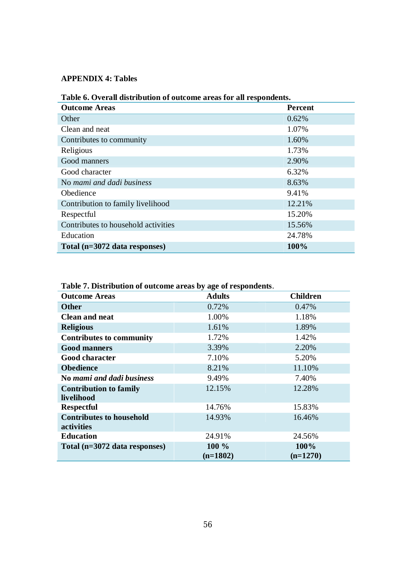# **APPENDIX 4: Tables**

| Table 6. Overall distribution of outcome areas for all respondents. |                |  |  |
|---------------------------------------------------------------------|----------------|--|--|
| <b>Outcome Areas</b>                                                | <b>Percent</b> |  |  |
| Other                                                               | 0.62%          |  |  |
| Clean and neat                                                      | 1.07%          |  |  |
| Contributes to community                                            | 1.60%          |  |  |
| Religious                                                           | 1.73%          |  |  |
| Good manners                                                        | 2.90%          |  |  |
| Good character                                                      | 6.32%          |  |  |
| No mami and dadi business                                           | 8.63%          |  |  |
| Obedience                                                           | 9.41%          |  |  |
| Contribution to family livelihood                                   | 12.21%         |  |  |
| Respectful                                                          | 15.20%         |  |  |
| Contributes to household activities                                 | 15.56%         |  |  |
| Education                                                           | 24.78%         |  |  |
| Total (n=3072 data responses)                                       | 100%           |  |  |

# **Table 6. Overall distribution of outcome areas for all respondents.**

**Table 7. Distribution of outcome areas by age of respondents**.

| <b>Outcome Areas</b>            | <b>Adults</b> | <b>Children</b> |  |
|---------------------------------|---------------|-----------------|--|
| <b>Other</b>                    | 0.72%         | 0.47%           |  |
| <b>Clean and neat</b>           | 1.00%         | 1.18%           |  |
| <b>Religious</b>                | 1.61%         | 1.89%           |  |
| <b>Contributes to community</b> | 1.72%         | 1.42%           |  |
| <b>Good manners</b>             | 3.39%         | 2.20%           |  |
| <b>Good character</b>           | 7.10%         | 5.20%           |  |
| <b>Obedience</b>                | 8.21%         | 11.10%          |  |
| No mami and dadi business       | 9.49%         | 7.40%           |  |
| <b>Contribution to family</b>   | 12.15%        | 12.28%          |  |
| livelihood                      |               |                 |  |
| <b>Respectful</b>               | 14.76%        | 15.83%          |  |
| <b>Contributes to household</b> | 14.93%        | 16.46%          |  |
| activities                      |               |                 |  |
| <b>Education</b>                | 24.91%        | 24.56%          |  |
| Total (n=3072 data responses)   | 100 %         | 100%            |  |
|                                 | $(n=1802)$    | $(n=1270)$      |  |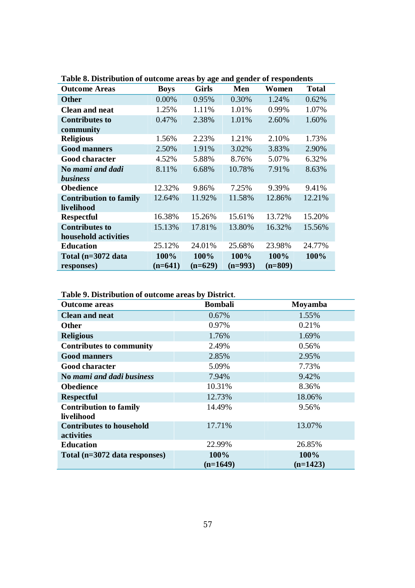| <b>Outcome Areas</b>          | <b>Boys</b> | <b>Girls</b> | Men       | Women     | <b>Total</b> |
|-------------------------------|-------------|--------------|-----------|-----------|--------------|
| <b>Other</b>                  | 0.00%       | 0.95%        | 0.30%     | 1.24%     | 0.62%        |
| <b>Clean and neat</b>         | 1.25%       | 1.11%        | 1.01%     | 0.99%     | 1.07%        |
| <b>Contributes to</b>         | 0.47%       | 2.38%        | 1.01%     | 2.60%     | 1.60%        |
| community                     |             |              |           |           |              |
| <b>Religious</b>              | 1.56%       | 2.23%        | 1.21%     | 2.10%     | 1.73%        |
| <b>Good manners</b>           | 2.50%       | 1.91%        | 3.02%     | 3.83%     | 2.90%        |
| <b>Good character</b>         | 4.52%       | 5.88%        | 8.76%     | 5.07%     | 6.32%        |
| No mami and dadi              | 8.11%       | 6.68%        | 10.78%    | 7.91%     | 8.63%        |
| <i>business</i>               |             |              |           |           |              |
| <b>Obedience</b>              | 12.32%      | 9.86%        | 7.25%     | 9.39%     | 9.41%        |
| <b>Contribution to family</b> | 12.64%      | 11.92%       | 11.58%    | 12.86%    | 12.21%       |
| livelihood                    |             |              |           |           |              |
| <b>Respectful</b>             | 16.38%      | 15.26%       | 15.61%    | 13.72%    | 15.20%       |
| <b>Contributes to</b>         | 15.13%      | 17.81%       | 13.80%    | 16.32%    | 15.56%       |
| household activities          |             |              |           |           |              |
| <b>Education</b>              | 25.12%      | 24.01%       | 25.68%    | 23.98%    | 24.77%       |
| Total (n=3072 data            | 100%        | 100%         | 100%      | 100%      | 100%         |
| responses)                    | $(n=641)$   | $(n=629)$    | $(n=993)$ | $(n=809)$ |              |

**Table 8. Distribution of outcome areas by age and gender of respondents**

# **Table 9. Distribution of outcome areas by District**.

| <b>Outcome areas</b>            | <b>Bombali</b> | Moyamba    |  |
|---------------------------------|----------------|------------|--|
| <b>Clean and neat</b>           | $0.67\%$       | 1.55%      |  |
| <b>Other</b>                    | 0.97%          | 0.21%      |  |
| <b>Religious</b>                | 1.76%          | 1.69%      |  |
| <b>Contributes to community</b> | 2.49%          | 0.56%      |  |
| <b>Good manners</b>             | 2.85%          | 2.95%      |  |
| <b>Good character</b>           | 5.09%          | 7.73%      |  |
| No mami and dadi business       | 7.94%          | 9.42%      |  |
| <b>Obedience</b>                | 10.31%         | 8.36%      |  |
| <b>Respectful</b>               | 12.73%         | 18.06%     |  |
| <b>Contribution to family</b>   | 14.49%         | 9.56%      |  |
| livelihood                      |                |            |  |
| <b>Contributes to household</b> | 17.71%         | 13.07%     |  |
| activities                      |                |            |  |
| <b>Education</b>                | 22.99%         | 26.85%     |  |
| Total (n=3072 data responses)   | 100%           | 100%       |  |
|                                 | $(n=1649)$     | $(n=1423)$ |  |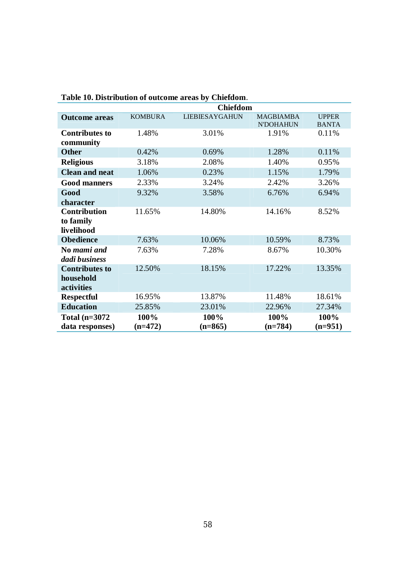| Table 10. Distribution of outcome areas by Chiefdom. |                 |                       |                                      |                              |  |
|------------------------------------------------------|-----------------|-----------------------|--------------------------------------|------------------------------|--|
|                                                      | <b>Chiefdom</b> |                       |                                      |                              |  |
| <b>Outcome areas</b>                                 | <b>KOMBURA</b>  | <b>LIEBIESAYGAHUN</b> | <b>MAGBIAMBA</b><br><b>N'DOHAHUN</b> | <b>UPPER</b><br><b>BANTA</b> |  |
| <b>Contributes to</b><br>community                   | 1.48%           | 3.01%                 | 1.91%                                | 0.11%                        |  |
| <b>Other</b>                                         | 0.42%           | 0.69%                 | 1.28%                                | 0.11%                        |  |
| <b>Religious</b>                                     | 3.18%           | 2.08%                 | 1.40%                                | 0.95%                        |  |
| <b>Clean and neat</b>                                | 1.06%           | 0.23%                 | 1.15%                                | 1.79%                        |  |
| <b>Good manners</b>                                  | 2.33%           | 3.24%                 | 2.42%                                | 3.26%                        |  |
| Good                                                 | 9.32%           | 3.58%                 | 6.76%                                | 6.94%                        |  |
| character                                            |                 |                       |                                      |                              |  |
| <b>Contribution</b>                                  | 11.65%          | 14.80%                | 14.16%                               | 8.52%                        |  |
| to family                                            |                 |                       |                                      |                              |  |
| livelihood                                           |                 |                       |                                      |                              |  |
| <b>Obedience</b>                                     | 7.63%           | 10.06%                | 10.59%                               | 8.73%                        |  |
| No mami and                                          | 7.63%           | 7.28%                 | 8.67%                                | 10.30%                       |  |
| dadi business                                        |                 |                       |                                      |                              |  |
| <b>Contributes to</b>                                | 12.50%          | 18.15%                | 17.22%                               | 13.35%                       |  |
| household                                            |                 |                       |                                      |                              |  |
| activities                                           |                 |                       |                                      |                              |  |
| <b>Respectful</b>                                    | 16.95%          | 13.87%                | 11.48%                               | 18.61%                       |  |
| <b>Education</b>                                     | 25.85%          | 23.01%                | 22.96%                               | 27.34%                       |  |
| Total $(n=3072)$                                     | 100%            | 100%                  | 100%                                 | 100%                         |  |
| data responses)                                      | $(n=472)$       | $(n=865)$             | $(n=784)$                            | $(n=951)$                    |  |

**Table 10. Distribution of outcome areas by Chiefdom**.